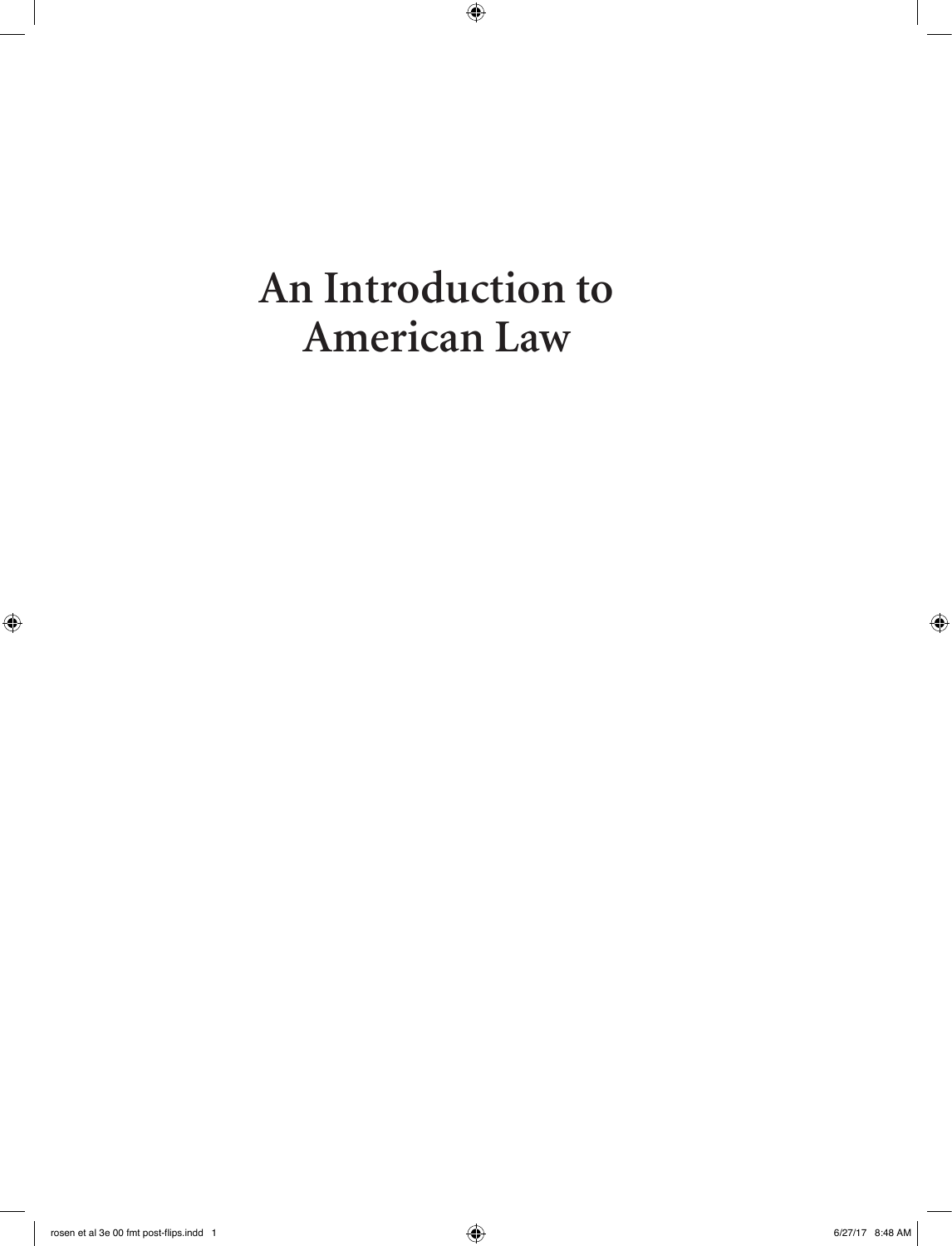**An Introduction to American Law**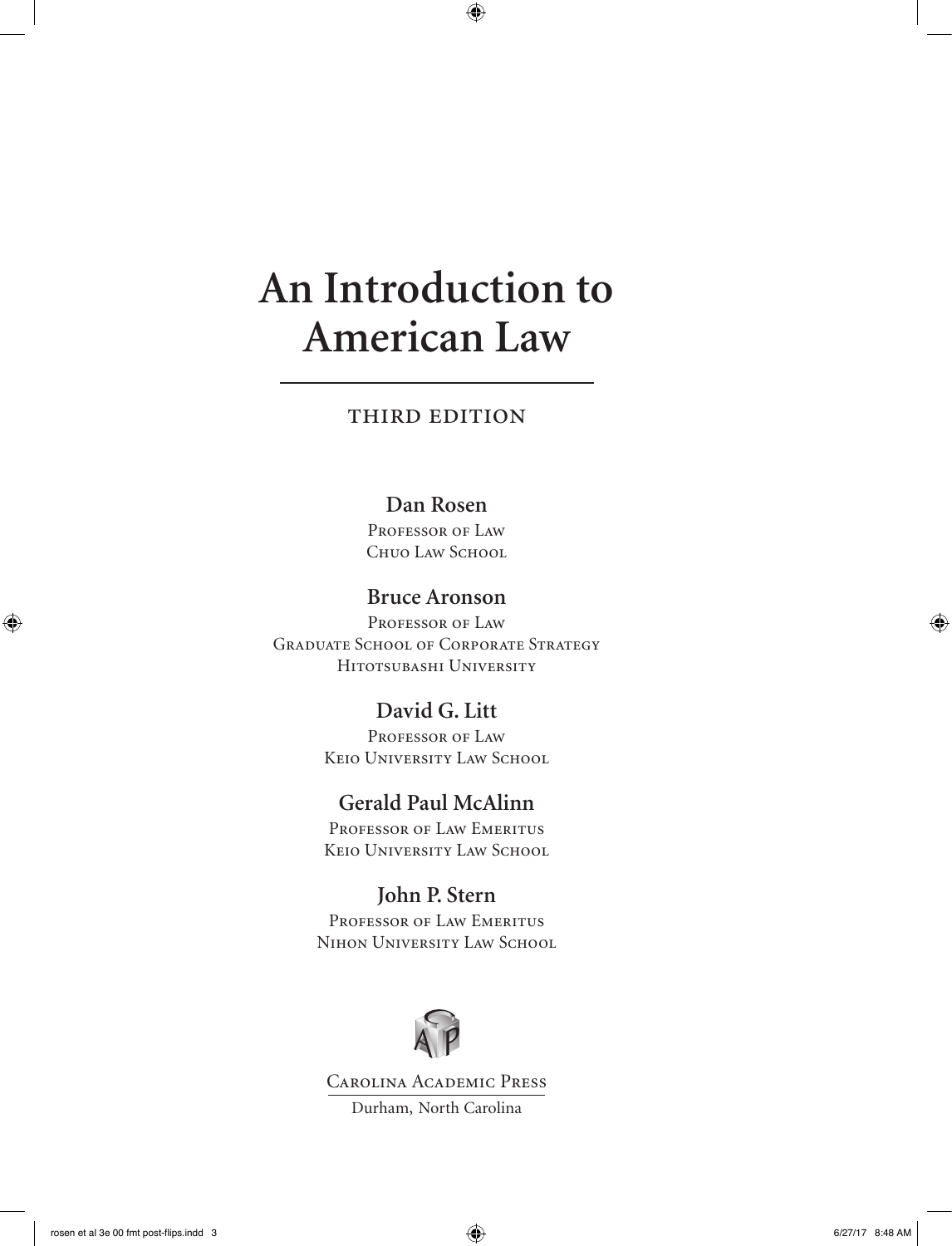# **An Introduction to American Law**

# third edition

### **Dan Rosen**

PROFESSOR OF LAW Chuo Law School

# **Bruce Aronson**

PROFESSOR OF LAW Graduate School of Corporate Strategy Hitotsubashi University

# **David G. Litt**

PROFESSOR OF LAW Keio University Law School

# **Gerald Paul McAlinn**

PROFESSOR OF LAW EMERITUS Keio University Law School

# **John P. Stern**

Professor of Law Emeritus Nihon University Law School



Carolina Academic Press Durham, North Carolina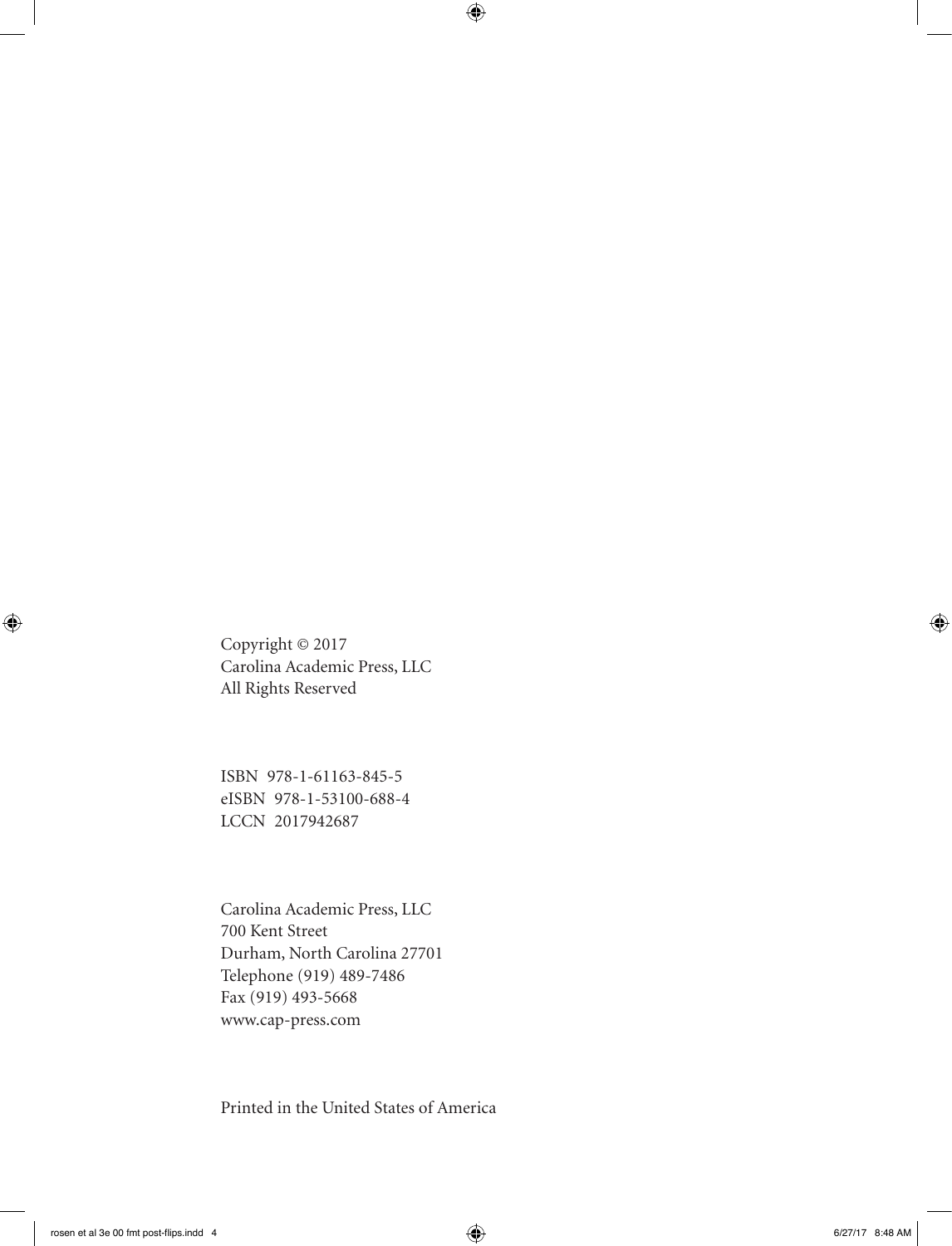Copyright © 2017 Carolina Academic Press, LLC All Rights Reserved

ISBN 978-1-61163-845-5 eISBN 978-1-53100-688-4 LCCN 2017942687

Carolina Academic Press, LLC 700 Kent Street Durham, North Carolina 27701 Telephone (919) 489-7486 Fax (919) 493-5668 www.cap-press.com

Printed in the United States of America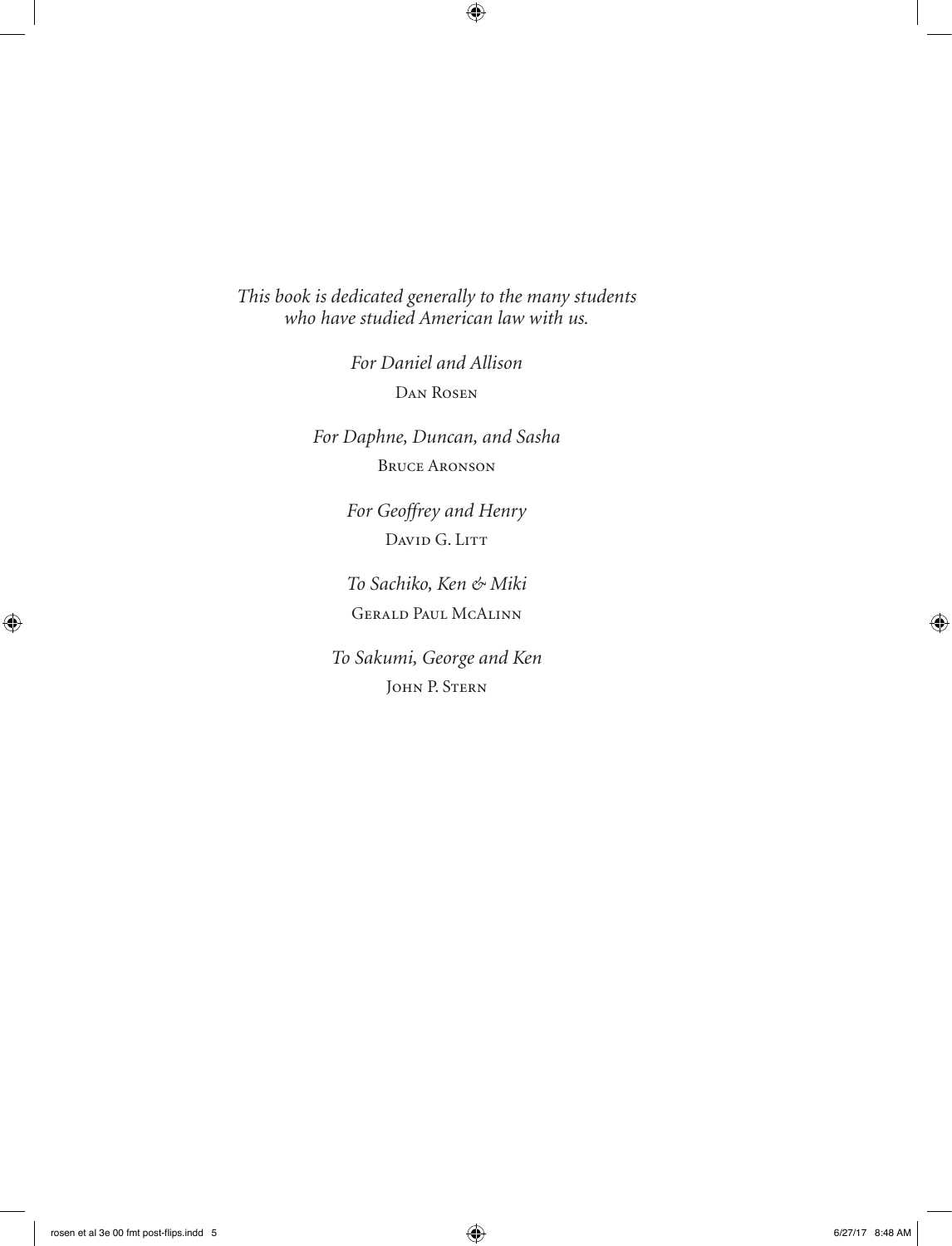*This book is dedicated generally to the many students who have studied American law with us.*

> *For Daniel and Allison* Dan Rosen

*For Daphne, Duncan, and Sasha* Bruce Aronson

> *For Geoffrey and Henry* DAVID G. LITT

> *To Sachiko, Ken & Miki* Gerald Paul McAlinn

*To Sakumi, George and Ken* John P. Stern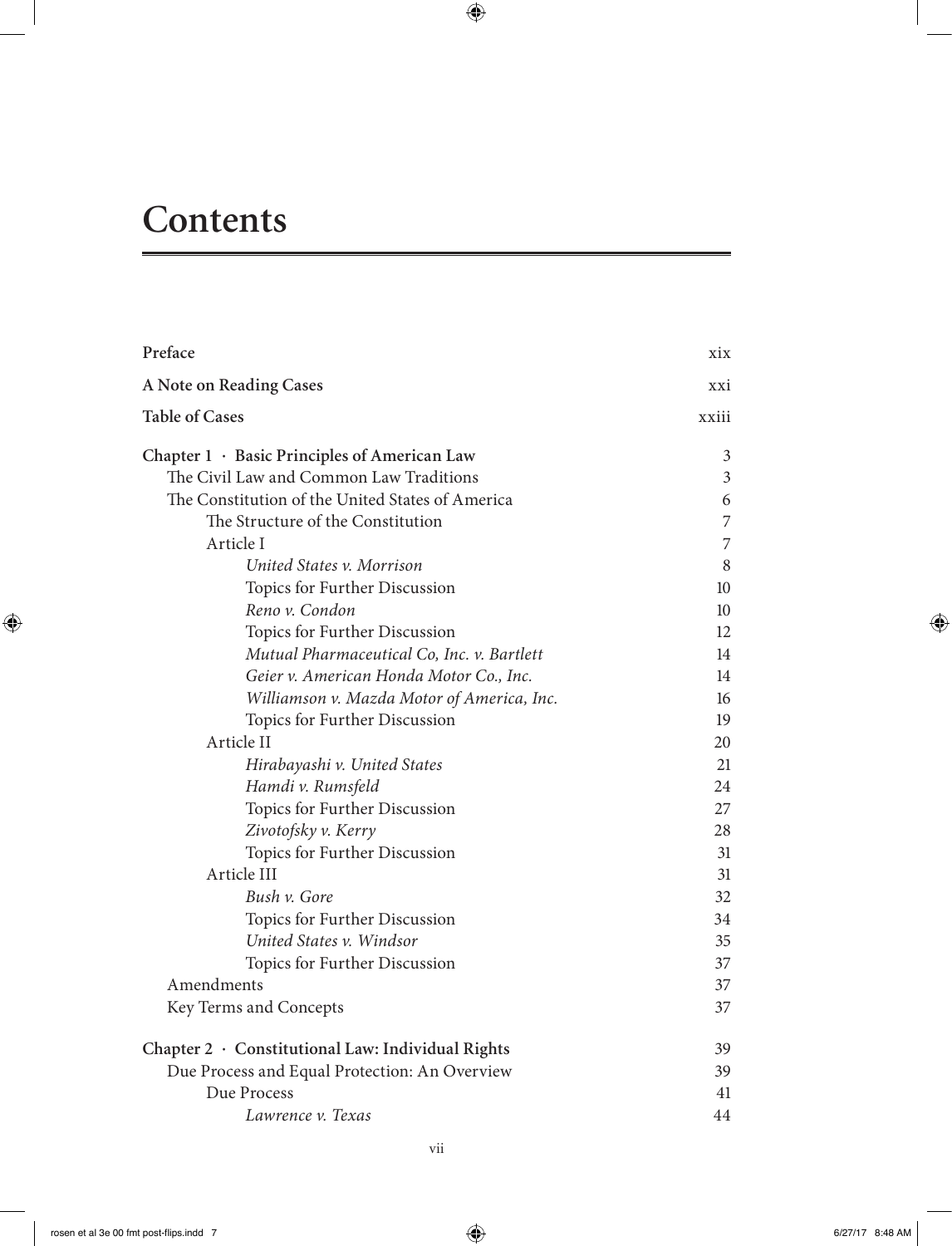# **Contents**

| Preface                                           | xix   |
|---------------------------------------------------|-------|
| A Note on Reading Cases                           | xxi   |
| <b>Table of Cases</b>                             | xxiii |
| Chapter 1 · Basic Principles of American Law      | 3     |
| The Civil Law and Common Law Traditions           | 3     |
| The Constitution of the United States of America  | 6     |
| The Structure of the Constitution                 | 7     |
| Article I                                         | 7     |
| United States v. Morrison                         | 8     |
| Topics for Further Discussion                     | 10    |
| Reno v. Condon                                    | 10    |
| Topics for Further Discussion                     | 12    |
| Mutual Pharmaceutical Co, Inc. v. Bartlett        | 14    |
| Geier v. American Honda Motor Co., Inc.           | 14    |
| Williamson v. Mazda Motor of America, Inc.        | 16    |
| Topics for Further Discussion                     | 19    |
| Article II                                        | 20    |
| Hirabayashi v. United States                      | 21    |
| Hamdi v. Rumsfeld                                 | 24    |
| Topics for Further Discussion                     | 27    |
| Zivotofsky v. Kerry                               | 28    |
| Topics for Further Discussion                     | 31    |
| Article III                                       | 31    |
| Bush v. Gore                                      | 32    |
| Topics for Further Discussion                     | 34    |
| United States v. Windsor                          | 35    |
| Topics for Further Discussion                     | 37    |
| Amendments                                        | 37    |
| Key Terms and Concepts                            | 37    |
| Chapter 2 · Constitutional Law: Individual Rights | 39    |
| Due Process and Equal Protection: An Overview     | 39    |
| Due Process                                       | 41    |
| Lawrence v. Texas                                 | 44    |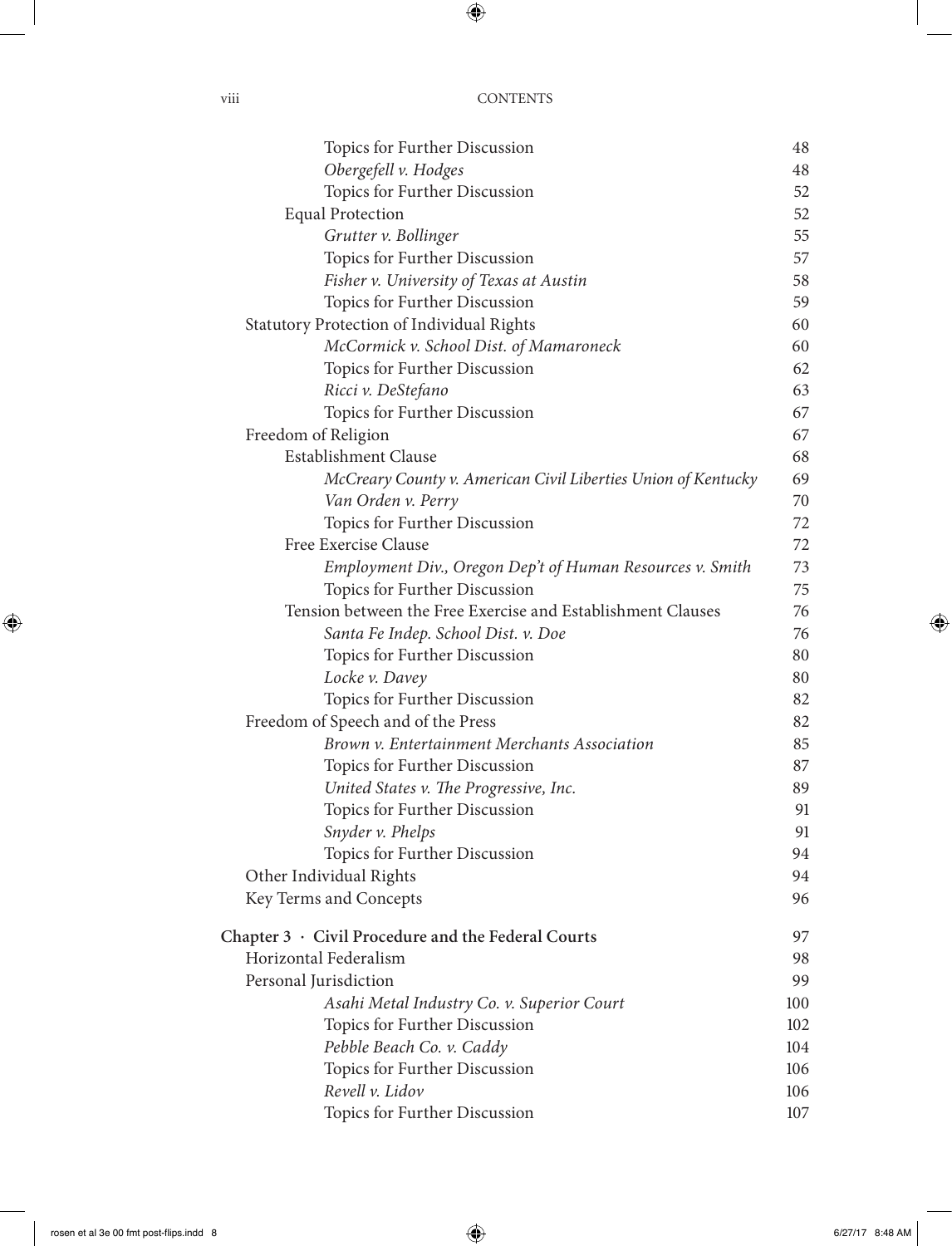viii CONTENTS

| Topics for Further Discussion                                 | 48  |
|---------------------------------------------------------------|-----|
| Obergefell v. Hodges                                          | 48  |
| Topics for Further Discussion                                 | 52  |
| <b>Equal Protection</b>                                       | 52  |
| Grutter v. Bollinger                                          | 55  |
| Topics for Further Discussion                                 | 57  |
| Fisher v. University of Texas at Austin                       | 58  |
| Topics for Further Discussion                                 | 59  |
| Statutory Protection of Individual Rights                     | 60  |
| McCormick v. School Dist. of Mamaroneck                       | 60  |
| Topics for Further Discussion                                 | 62  |
| Ricci v. DeStefano                                            | 63  |
| Topics for Further Discussion                                 | 67  |
| Freedom of Religion                                           | 67  |
| Establishment Clause                                          | 68  |
| McCreary County v. American Civil Liberties Union of Kentucky | 69  |
| Van Orden v. Perry                                            | 70  |
| Topics for Further Discussion                                 | 72  |
| Free Exercise Clause                                          | 72  |
| Employment Div., Oregon Dep't of Human Resources v. Smith     | 73  |
| Topics for Further Discussion                                 | 75  |
| Tension between the Free Exercise and Establishment Clauses   | 76  |
| Santa Fe Indep. School Dist. v. Doe                           | 76  |
| Topics for Further Discussion                                 | 80  |
| Locke v. Davey                                                | 80  |
| Topics for Further Discussion                                 | 82  |
| Freedom of Speech and of the Press                            | 82  |
| Brown v. Entertainment Merchants Association                  | 85  |
| Topics for Further Discussion                                 | 87  |
| United States v. The Progressive, Inc.                        | 89  |
| Topics for Further Discussion                                 | 91  |
| Snyder v. Phelps                                              | 91  |
| Topics for Further Discussion                                 | 94  |
| Other Individual Rights                                       | 94  |
| Key Terms and Concepts                                        | 96  |
| Chapter $3 \cdot$ Civil Procedure and the Federal Courts      | 97  |
| Horizontal Federalism                                         | 98  |
| Personal Jurisdiction                                         | 99  |
| Asahi Metal Industry Co. v. Superior Court                    | 100 |
| Topics for Further Discussion                                 | 102 |
| Pebble Beach Co. v. Caddy                                     | 104 |
| Topics for Further Discussion                                 | 106 |
| Revell v. Lidov                                               | 106 |
| Topics for Further Discussion                                 | 107 |
|                                                               |     |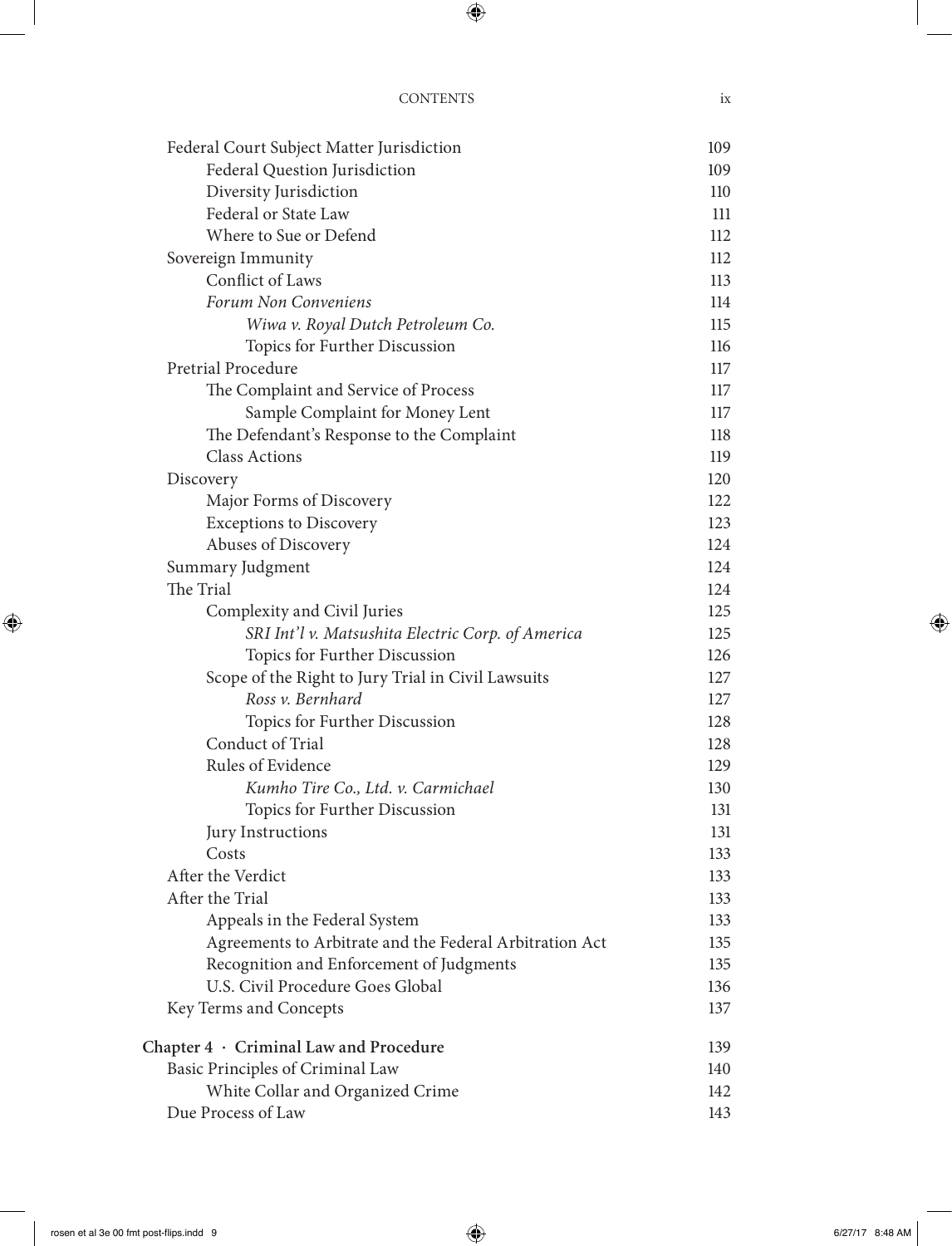| Federal Court Subject Matter Jurisdiction               | 109 |
|---------------------------------------------------------|-----|
| Federal Question Jurisdiction                           | 109 |
| Diversity Jurisdiction                                  | 110 |
| Federal or State Law                                    | 111 |
| Where to Sue or Defend                                  | 112 |
| Sovereign Immunity                                      | 112 |
| Conflict of Laws                                        | 113 |
| Forum Non Conveniens                                    | 114 |
| Wiwa v. Royal Dutch Petroleum Co.                       | 115 |
| Topics for Further Discussion                           | 116 |
| Pretrial Procedure                                      | 117 |
| The Complaint and Service of Process                    | 117 |
| Sample Complaint for Money Lent                         | 117 |
| The Defendant's Response to the Complaint               | 118 |
| <b>Class Actions</b>                                    | 119 |
| Discovery                                               | 120 |
| Major Forms of Discovery                                | 122 |
| <b>Exceptions to Discovery</b>                          | 123 |
| Abuses of Discovery                                     | 124 |
| Summary Judgment                                        | 124 |
| The Trial                                               | 124 |
| Complexity and Civil Juries                             | 125 |
| SRI Int'l v. Matsushita Electric Corp. of America       | 125 |
| Topics for Further Discussion                           | 126 |
| Scope of the Right to Jury Trial in Civil Lawsuits      | 127 |
| Ross v. Bernhard                                        | 127 |
| Topics for Further Discussion                           | 128 |
| Conduct of Trial                                        | 128 |
| Rules of Evidence                                       | 129 |
| Kumho Tire Co., Ltd. v. Carmichael                      | 130 |
| Topics for Further Discussion                           | 131 |
| Jury Instructions                                       | 131 |
| Costs                                                   | 133 |
| After the Verdict                                       | 133 |
| After the Trial                                         | 133 |
| Appeals in the Federal System                           | 133 |
| Agreements to Arbitrate and the Federal Arbitration Act | 135 |
| Recognition and Enforcement of Judgments                | 135 |
| U.S. Civil Procedure Goes Global                        | 136 |
| Key Terms and Concepts                                  | 137 |
| Chapter $4 \cdot$ Criminal Law and Procedure            | 139 |
| Basic Principles of Criminal Law                        | 140 |
| White Collar and Organized Crime                        | 142 |
| Due Process of Law                                      | 143 |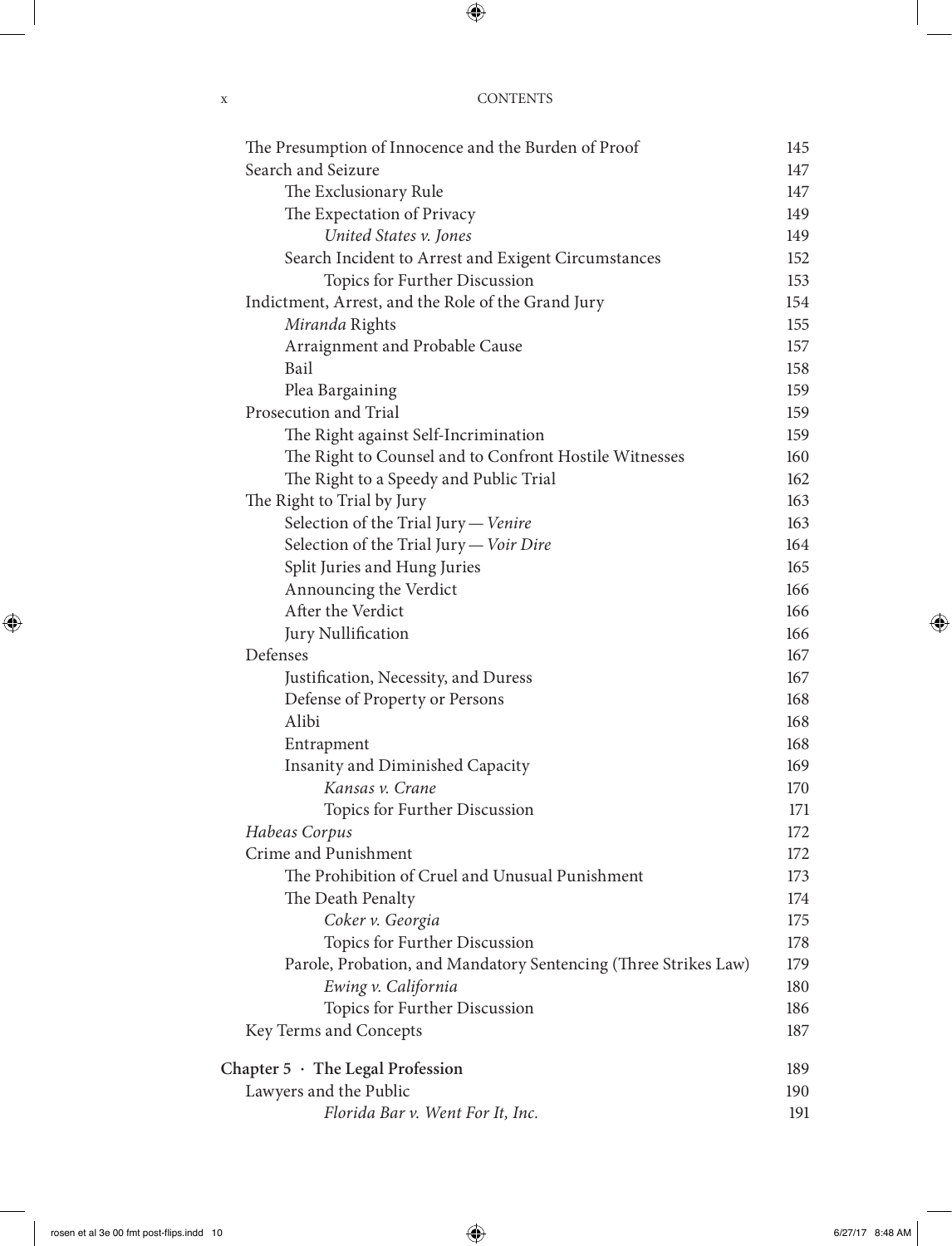| <b>CONTENTS</b> |
|-----------------|
|                 |

| The Presumption of Innocence and the Burden of Proof            | 145 |
|-----------------------------------------------------------------|-----|
| Search and Seizure                                              | 147 |
| The Exclusionary Rule                                           | 147 |
| The Expectation of Privacy                                      | 149 |
| United States v. Jones                                          | 149 |
| Search Incident to Arrest and Exigent Circumstances             | 152 |
| Topics for Further Discussion                                   | 153 |
| Indictment, Arrest, and the Role of the Grand Jury              | 154 |
| Miranda Rights                                                  | 155 |
| Arraignment and Probable Cause                                  | 157 |
| Bail                                                            | 158 |
| Plea Bargaining                                                 | 159 |
| Prosecution and Trial                                           | 159 |
| The Right against Self-Incrimination                            | 159 |
| The Right to Counsel and to Confront Hostile Witnesses          | 160 |
| The Right to a Speedy and Public Trial                          | 162 |
| The Right to Trial by Jury                                      | 163 |
| Selection of the Trial Jury - Venire                            | 163 |
| Selection of the Trial Jury - Voir Dire                         | 164 |
| Split Juries and Hung Juries                                    | 165 |
| Announcing the Verdict                                          | 166 |
| After the Verdict                                               | 166 |
| Jury Nullification                                              | 166 |
| Defenses                                                        | 167 |
| Justification, Necessity, and Duress                            | 167 |
| Defense of Property or Persons                                  | 168 |
| Alibi                                                           | 168 |
| Entrapment                                                      | 168 |
| Insanity and Diminished Capacity                                | 169 |
| Kansas v. Crane                                                 | 170 |
| Topics for Further Discussion                                   | 171 |
| Habeas Corpus                                                   | 172 |
| Crime and Punishment                                            | 172 |
| The Prohibition of Cruel and Unusual Punishment                 | 173 |
| The Death Penalty                                               | 174 |
| Coker v. Georgia                                                | 175 |
| Topics for Further Discussion                                   | 178 |
| Parole, Probation, and Mandatory Sentencing (Three Strikes Law) | 179 |
| Ewing v. California                                             | 180 |
| Topics for Further Discussion                                   | 186 |
| Key Terms and Concepts                                          | 187 |
| Chapter 5 · The Legal Profession                                | 189 |
| Lawyers and the Public                                          | 190 |
| Florida Bar v. Went For It, Inc.                                | 191 |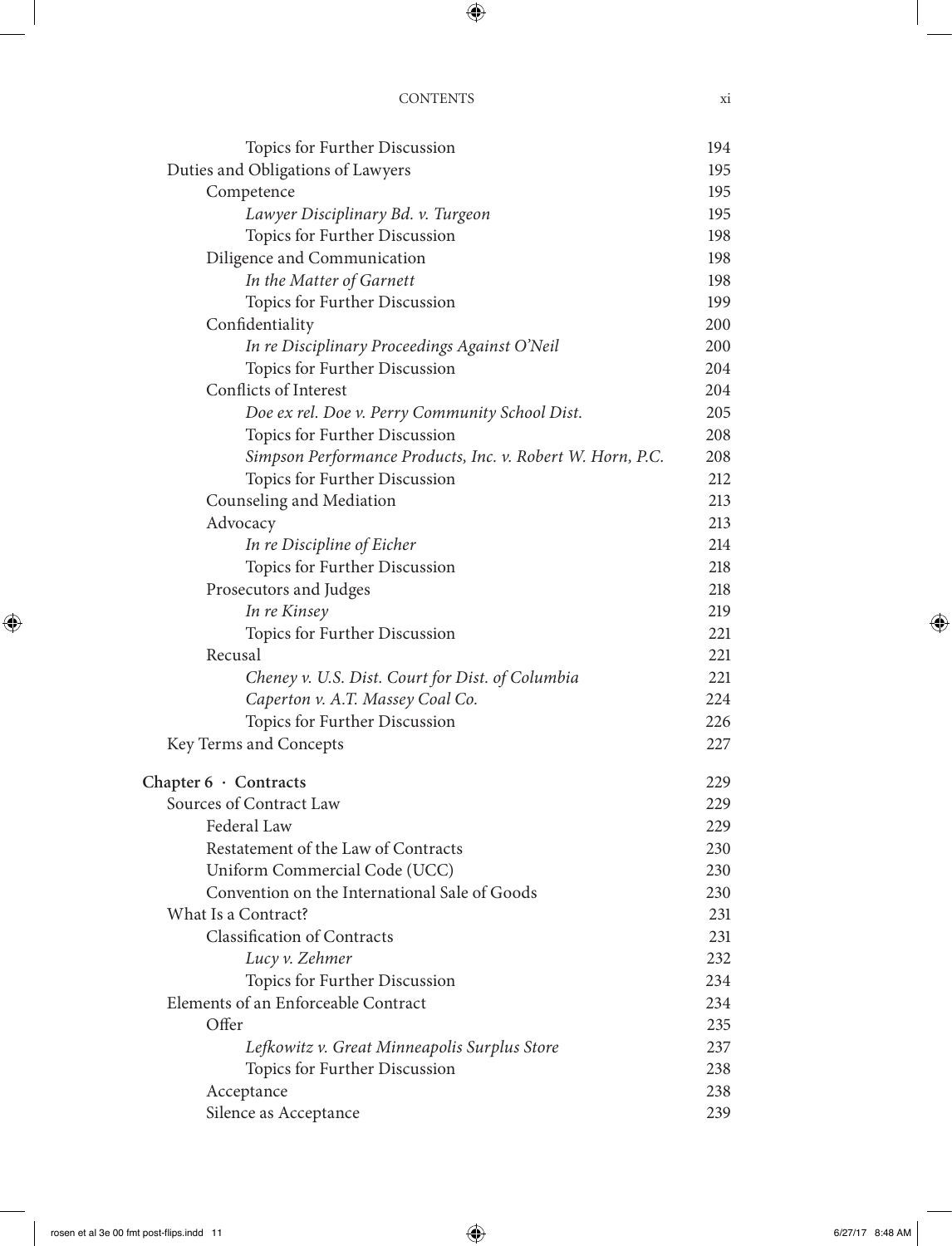| Topics for Further Discussion                              | 194 |
|------------------------------------------------------------|-----|
| Duties and Obligations of Lawyers                          | 195 |
| Competence                                                 | 195 |
| Lawyer Disciplinary Bd. v. Turgeon                         | 195 |
| Topics for Further Discussion                              | 198 |
| Diligence and Communication                                | 198 |
| In the Matter of Garnett                                   | 198 |
| Topics for Further Discussion                              | 199 |
| Confidentiality                                            | 200 |
| In re Disciplinary Proceedings Against O'Neil              | 200 |
| Topics for Further Discussion                              | 204 |
| Conflicts of Interest                                      | 204 |
| Doe ex rel. Doe v. Perry Community School Dist.            | 205 |
| Topics for Further Discussion                              | 208 |
| Simpson Performance Products, Inc. v. Robert W. Horn, P.C. | 208 |
| Topics for Further Discussion                              | 212 |
| Counseling and Mediation                                   | 213 |
| Advocacy                                                   | 213 |
| In re Discipline of Eicher                                 | 214 |
| Topics for Further Discussion                              | 218 |
| Prosecutors and Judges                                     | 218 |
| In re Kinsey                                               | 219 |
| Topics for Further Discussion                              | 221 |
| Recusal                                                    | 221 |
| Cheney v. U.S. Dist. Court for Dist. of Columbia           | 221 |
| Caperton v. A.T. Massey Coal Co.                           | 224 |
| Topics for Further Discussion                              | 226 |
| Key Terms and Concepts                                     | 227 |
| Chapter $6 \cdot$ Contracts                                | 229 |
| Sources of Contract Law                                    | 229 |
| Federal Law                                                | 229 |
| Restatement of the Law of Contracts                        | 230 |
| Uniform Commercial Code (UCC)                              | 230 |
| Convention on the International Sale of Goods              | 230 |
| What Is a Contract?                                        | 231 |
| <b>Classification of Contracts</b>                         | 231 |
| Lucy v. Zehmer                                             | 232 |
| Topics for Further Discussion                              | 234 |
| Elements of an Enforceable Contract                        | 234 |
| Offer                                                      | 235 |
| Lefkowitz v. Great Minneapolis Surplus Store               | 237 |
| Topics for Further Discussion                              | 238 |
| Acceptance                                                 | 238 |
| Silence as Acceptance                                      | 239 |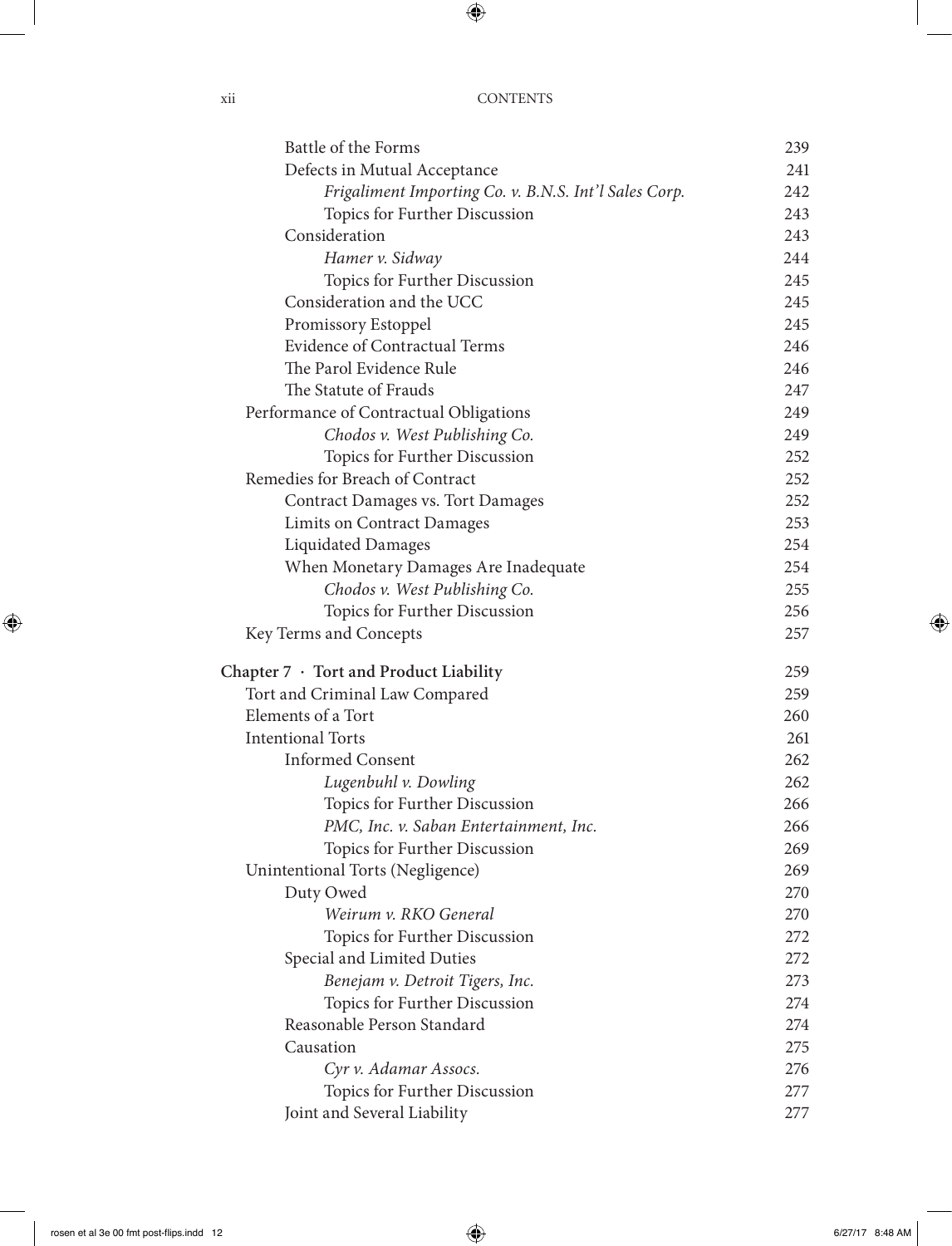| Battle of the Forms                                   | 239 |
|-------------------------------------------------------|-----|
| Defects in Mutual Acceptance                          | 241 |
| Frigaliment Importing Co. v. B.N.S. Int'l Sales Corp. | 242 |
| Topics for Further Discussion                         | 243 |
| Consideration                                         | 243 |
| Hamer v. Sidway                                       | 244 |
| Topics for Further Discussion                         | 245 |
| Consideration and the UCC                             | 245 |
| Promissory Estoppel                                   | 245 |
| <b>Evidence of Contractual Terms</b>                  | 246 |
| The Parol Evidence Rule                               | 246 |
| The Statute of Frauds                                 | 247 |
| Performance of Contractual Obligations                | 249 |
| Chodos v. West Publishing Co.                         | 249 |
| Topics for Further Discussion                         | 252 |
| Remedies for Breach of Contract                       | 252 |
| Contract Damages vs. Tort Damages                     | 252 |
| <b>Limits on Contract Damages</b>                     | 253 |
| <b>Liquidated Damages</b>                             | 254 |
| When Monetary Damages Are Inadequate                  | 254 |
| Chodos v. West Publishing Co.                         | 255 |
| Topics for Further Discussion                         | 256 |
| Key Terms and Concepts                                | 257 |
| Chapter $7 \cdot$ Tort and Product Liability          | 259 |
| Tort and Criminal Law Compared                        | 259 |
| Elements of a Tort                                    | 260 |
| <b>Intentional Torts</b>                              | 261 |
| <b>Informed Consent</b>                               | 262 |
| Lugenbuhl v. Dowling                                  | 262 |
| Topics for Further Discussion                         | 266 |
| PMC, Inc. v. Saban Entertainment, Inc.                | 266 |
| Topics for Further Discussion                         | 269 |
| Unintentional Torts (Negligence)                      | 269 |
| Duty Owed                                             | 270 |
| Weirum v. RKO General                                 | 270 |
| Topics for Further Discussion                         | 272 |
| Special and Limited Duties                            | 272 |
| Benejam v. Detroit Tigers, Inc.                       | 273 |
| Topics for Further Discussion                         | 274 |
| Reasonable Person Standard                            | 274 |
| Causation                                             | 275 |
| Cyr v. Adamar Assocs.                                 | 276 |
| Topics for Further Discussion                         | 277 |
| Joint and Several Liability                           | 277 |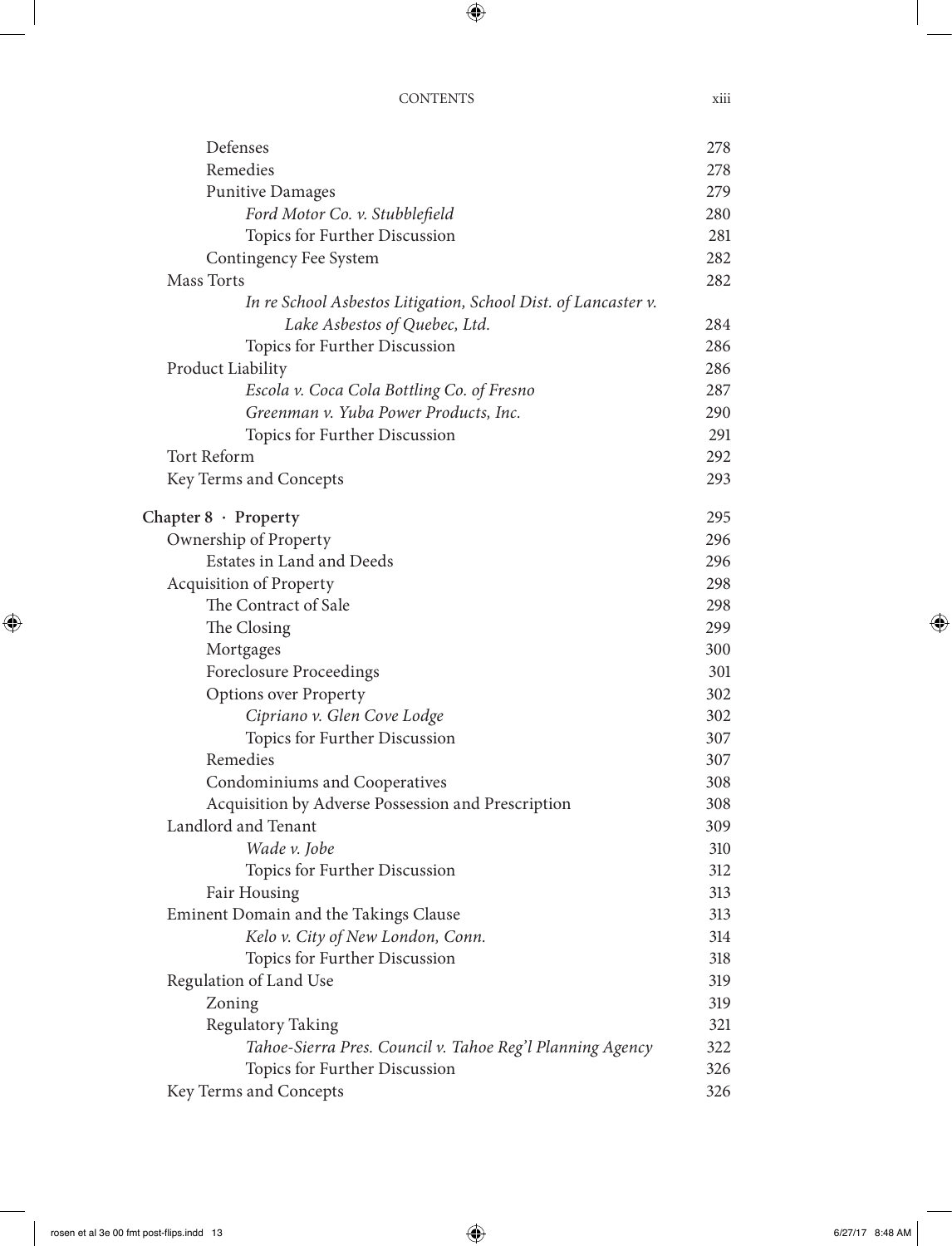| Defenses                                                       | 278 |
|----------------------------------------------------------------|-----|
| Remedies                                                       | 278 |
| <b>Punitive Damages</b>                                        | 279 |
| Ford Motor Co. v. Stubblefield                                 | 280 |
| Topics for Further Discussion                                  | 281 |
| Contingency Fee System                                         | 282 |
| Mass Torts                                                     | 282 |
| In re School Asbestos Litigation, School Dist. of Lancaster v. |     |
| Lake Asbestos of Quebec, Ltd.                                  | 284 |
| Topics for Further Discussion                                  | 286 |
| Product Liability                                              | 286 |
| Escola v. Coca Cola Bottling Co. of Fresno                     | 287 |
| Greenman v. Yuba Power Products, Inc.                          | 290 |
| Topics for Further Discussion                                  | 291 |
| Tort Reform                                                    | 292 |
| Key Terms and Concepts                                         | 293 |
| Chapter $8 \cdot$ Property                                     | 295 |
| Ownership of Property                                          | 296 |
| Estates in Land and Deeds                                      | 296 |
| Acquisition of Property                                        | 298 |
| The Contract of Sale                                           | 298 |
| The Closing                                                    | 299 |
| Mortgages                                                      | 300 |
| Foreclosure Proceedings                                        | 301 |
| <b>Options over Property</b>                                   | 302 |
| Cipriano v. Glen Cove Lodge                                    | 302 |
| Topics for Further Discussion                                  | 307 |
| Remedies                                                       | 307 |
| Condominiums and Cooperatives                                  | 308 |
| Acquisition by Adverse Possession and Prescription             | 308 |
| Landlord and Tenant                                            | 309 |
| Wade v. Jobe                                                   | 310 |
| Topics for Further Discussion                                  | 312 |
| Fair Housing                                                   | 313 |
| Eminent Domain and the Takings Clause                          | 313 |
| Kelo v. City of New London, Conn.                              | 314 |
| Topics for Further Discussion                                  | 318 |
| Regulation of Land Use                                         | 319 |
| Zoning                                                         | 319 |
| Regulatory Taking                                              | 321 |
| Tahoe-Sierra Pres. Council v. Tahoe Reg'l Planning Agency      | 322 |
| Topics for Further Discussion                                  | 326 |
| Key Terms and Concepts                                         | 326 |
|                                                                |     |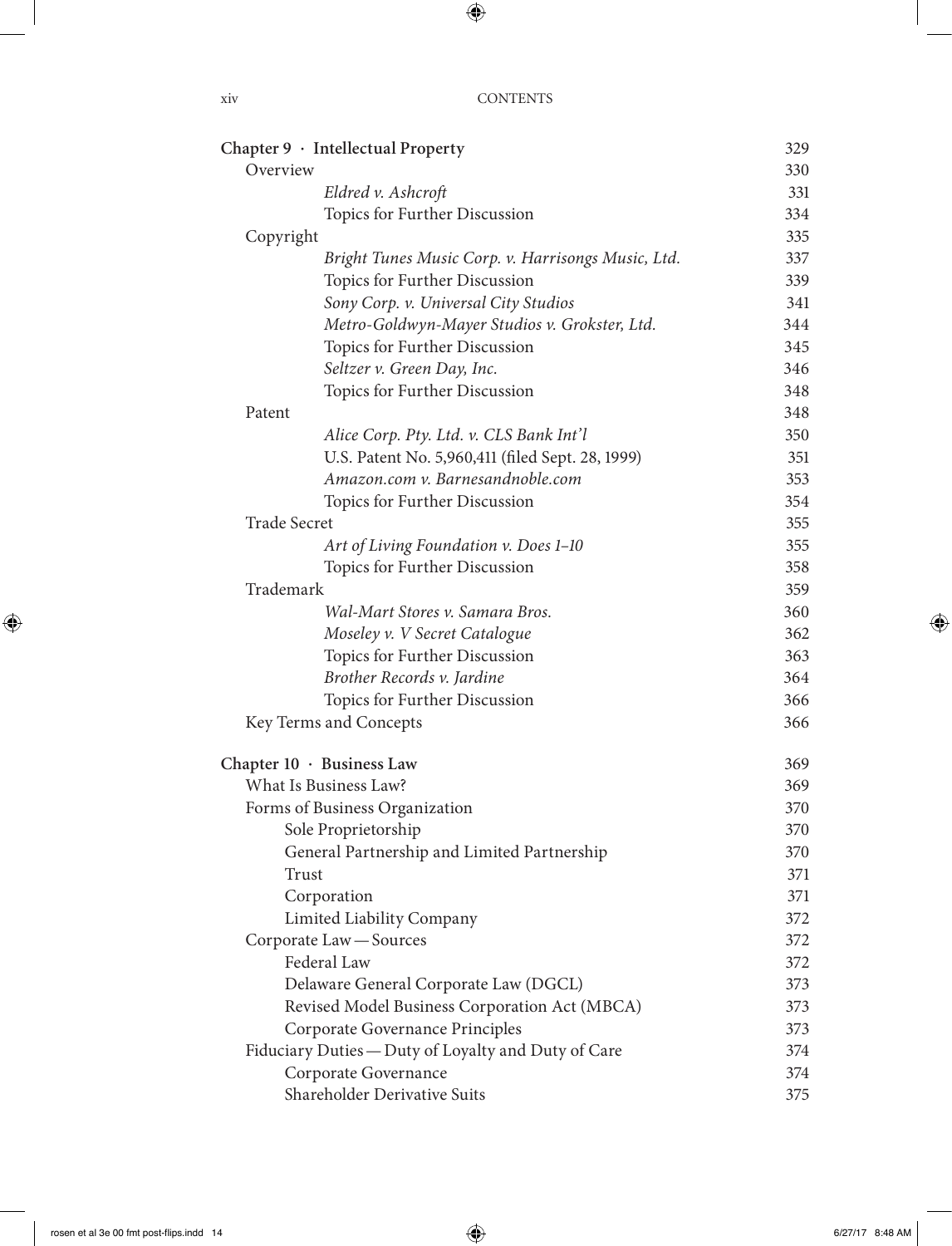|                     | Chapter 9 · Intellectual Property                   | 329 |
|---------------------|-----------------------------------------------------|-----|
| Overview            |                                                     | 330 |
|                     | Eldred v. Ashcroft                                  | 331 |
|                     | Topics for Further Discussion                       | 334 |
| Copyright           |                                                     | 335 |
|                     | Bright Tunes Music Corp. v. Harrisongs Music, Ltd.  | 337 |
|                     | Topics for Further Discussion                       | 339 |
|                     | Sony Corp. v. Universal City Studios                | 341 |
|                     | Metro-Goldwyn-Mayer Studios v. Grokster, Ltd.       | 344 |
|                     | Topics for Further Discussion                       | 345 |
|                     | Seltzer v. Green Day, Inc.                          | 346 |
|                     | Topics for Further Discussion                       | 348 |
| Patent              |                                                     | 348 |
|                     | Alice Corp. Pty. Ltd. v. CLS Bank Int'l             | 350 |
|                     | U.S. Patent No. 5,960,411 (filed Sept. 28, 1999)    | 351 |
|                     | Amazon.com v. Barnesandnoble.com                    | 353 |
|                     | Topics for Further Discussion                       | 354 |
| <b>Trade Secret</b> |                                                     | 355 |
|                     | Art of Living Foundation v. Does 1-10               | 355 |
|                     | Topics for Further Discussion                       | 358 |
| Trademark           |                                                     | 359 |
|                     | Wal-Mart Stores v. Samara Bros.                     | 360 |
|                     | Moseley v. V Secret Catalogue                       | 362 |
|                     | Topics for Further Discussion                       | 363 |
|                     | Brother Records v. Jardine                          | 364 |
|                     | Topics for Further Discussion                       | 366 |
|                     | Key Terms and Concepts                              | 366 |
|                     | Chapter $10 \cdot$ Business Law                     | 369 |
|                     | What Is Business Law?                               | 369 |
|                     | Forms of Business Organization                      | 370 |
|                     | Sole Proprietorship                                 | 370 |
|                     | General Partnership and Limited Partnership         | 370 |
| Trust               |                                                     | 371 |
|                     | Corporation                                         | 371 |
|                     | Limited Liability Company                           | 372 |
|                     | Corporate Law - Sources                             | 372 |
|                     | Federal Law                                         | 372 |
|                     | Delaware General Corporate Law (DGCL)               | 373 |
|                     | Revised Model Business Corporation Act (MBCA)       | 373 |
|                     | Corporate Governance Principles                     | 373 |
|                     | Fiduciary Duties - Duty of Loyalty and Duty of Care | 374 |
|                     | Corporate Governance                                | 374 |
|                     | Shareholder Derivative Suits                        | 375 |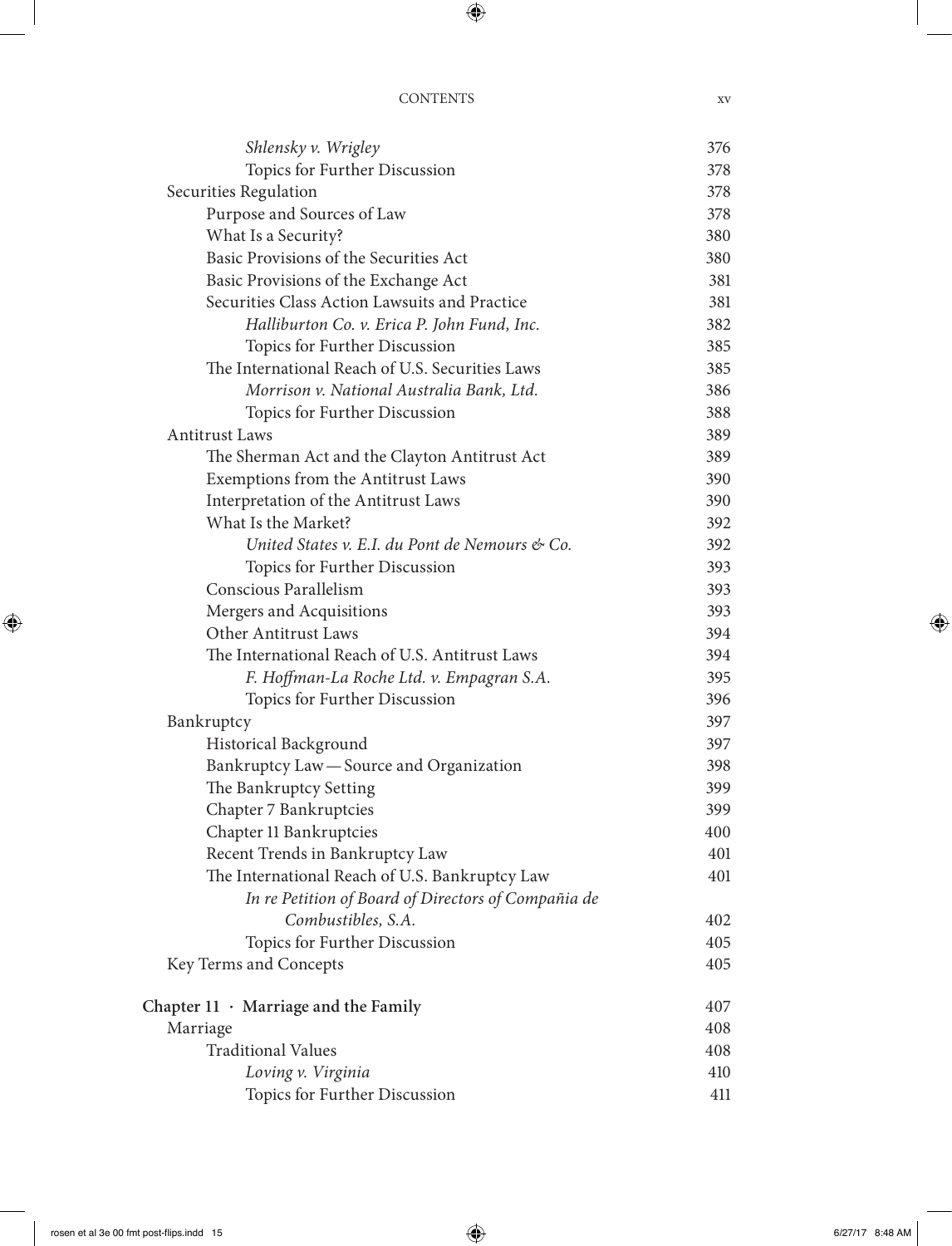| Shlensky v. Wrigley                                 | 376 |
|-----------------------------------------------------|-----|
| Topics for Further Discussion                       | 378 |
| Securities Regulation                               | 378 |
| Purpose and Sources of Law                          | 378 |
| What Is a Security?                                 | 380 |
| Basic Provisions of the Securities Act              | 380 |
| Basic Provisions of the Exchange Act                | 381 |
| Securities Class Action Lawsuits and Practice       | 381 |
| Halliburton Co. v. Erica P. John Fund, Inc.         | 382 |
| Topics for Further Discussion                       | 385 |
| The International Reach of U.S. Securities Laws     | 385 |
| Morrison v. National Australia Bank, Ltd.           | 386 |
| Topics for Further Discussion                       | 388 |
| <b>Antitrust Laws</b>                               | 389 |
| The Sherman Act and the Clayton Antitrust Act       | 389 |
| Exemptions from the Antitrust Laws                  | 390 |
| Interpretation of the Antitrust Laws                | 390 |
| What Is the Market?                                 | 392 |
| United States v. E.I. du Pont de Nemours & Co.      | 392 |
| Topics for Further Discussion                       | 393 |
| Conscious Parallelism                               | 393 |
| Mergers and Acquisitions                            | 393 |
| Other Antitrust Laws                                | 394 |
| The International Reach of U.S. Antitrust Laws      | 394 |
| F. Hoffman-La Roche Ltd. v. Empagran S.A.           | 395 |
| Topics for Further Discussion                       | 396 |
| Bankruptcy                                          | 397 |
| Historical Background                               | 397 |
| Bankruptcy Law - Source and Organization            | 398 |
| The Bankruptcy Setting                              | 399 |
| Chapter 7 Bankruptcies                              | 399 |
| Chapter 11 Bankruptcies                             | 400 |
| Recent Trends in Bankruptcy Law                     | 401 |
| The International Reach of U.S. Bankruptcy Law      | 401 |
| In re Petition of Board of Directors of Compañia de |     |
| Combustibles, S.A.                                  | 402 |
| Topics for Further Discussion                       | 405 |
| Key Terms and Concepts                              | 405 |
| Chapter $11 \cdot$ Marriage and the Family          | 407 |
| Marriage                                            | 408 |
| <b>Traditional Values</b>                           | 408 |
| Loving v. Virginia                                  | 410 |
| Topics for Further Discussion                       | 411 |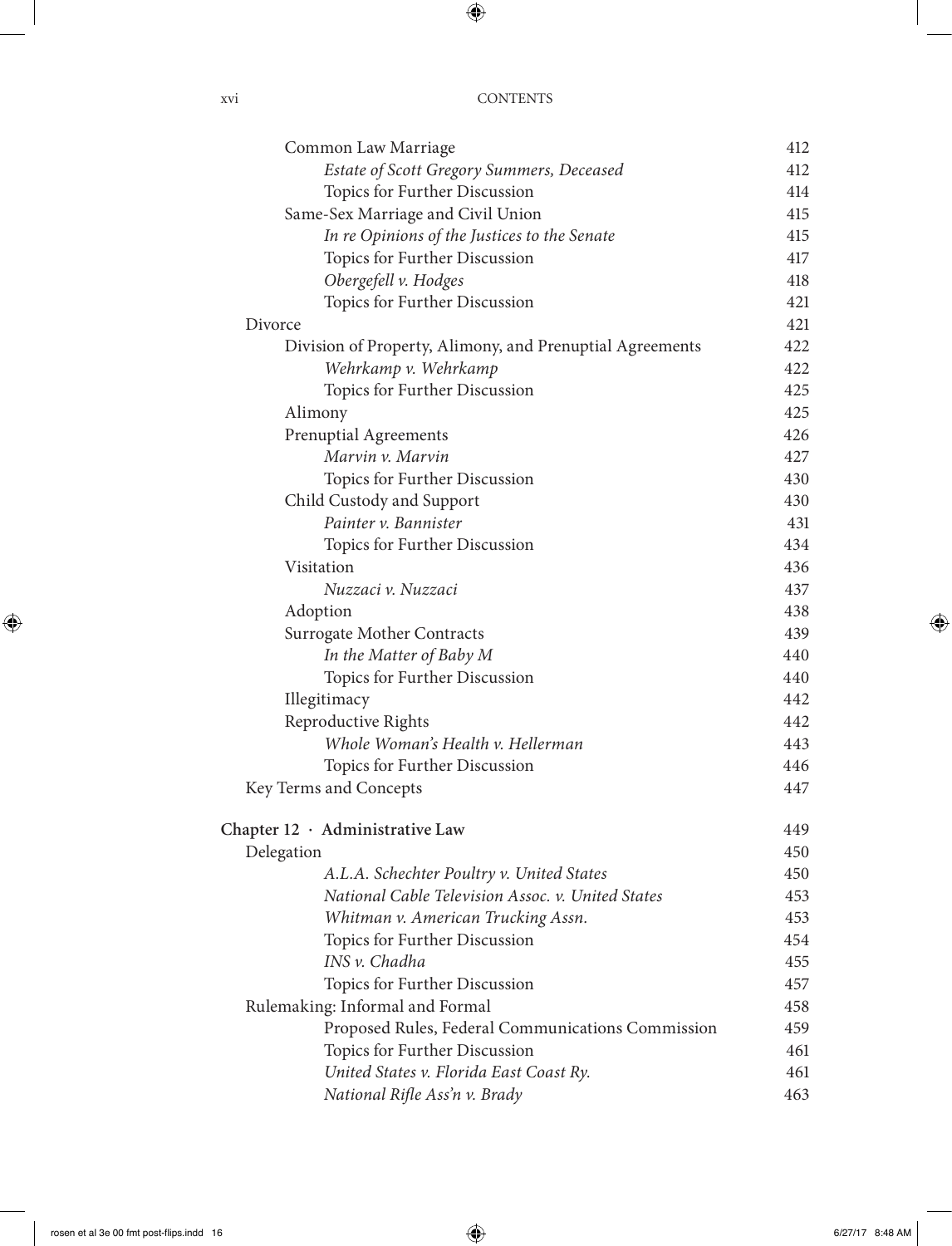| Common Law Marriage                                      | 412 |
|----------------------------------------------------------|-----|
| Estate of Scott Gregory Summers, Deceased                | 412 |
| Topics for Further Discussion                            | 414 |
| Same-Sex Marriage and Civil Union                        | 415 |
| In re Opinions of the Justices to the Senate             | 415 |
| Topics for Further Discussion                            | 417 |
| Obergefell v. Hodges                                     | 418 |
| Topics for Further Discussion                            | 421 |
| Divorce                                                  | 421 |
| Division of Property, Alimony, and Prenuptial Agreements | 422 |
| Wehrkamp v. Wehrkamp                                     | 422 |
| Topics for Further Discussion                            | 425 |
| Alimony                                                  | 425 |
| Prenuptial Agreements                                    | 426 |
| Marvin v. Marvin                                         | 427 |
| Topics for Further Discussion                            | 430 |
| Child Custody and Support                                | 430 |
| Painter v. Bannister                                     | 431 |
| Topics for Further Discussion                            | 434 |
| Visitation                                               | 436 |
| Nuzzaci v. Nuzzaci                                       | 437 |
| Adoption                                                 | 438 |
| Surrogate Mother Contracts                               | 439 |
| In the Matter of Baby M                                  | 440 |
| Topics for Further Discussion                            | 440 |
| Illegitimacy                                             | 442 |
| Reproductive Rights                                      | 442 |
| Whole Woman's Health v. Hellerman                        | 443 |
| Topics for Further Discussion                            | 446 |
| Key Terms and Concepts                                   | 447 |
| Chapter 12 · Administrative Law                          | 449 |
| Delegation                                               | 450 |
| A.L.A. Schechter Poultry v. United States                | 450 |
| National Cable Television Assoc. v. United States        | 453 |
| Whitman v. American Trucking Assn.                       | 453 |
| Topics for Further Discussion                            | 454 |
| INS v. Chadha                                            | 455 |
| Topics for Further Discussion                            | 457 |
| Rulemaking: Informal and Formal                          | 458 |
| Proposed Rules, Federal Communications Commission        | 459 |
| Topics for Further Discussion                            | 461 |
| United States v. Florida East Coast Ry.                  | 461 |
| National Rifle Ass'n v. Brady                            | 463 |
|                                                          |     |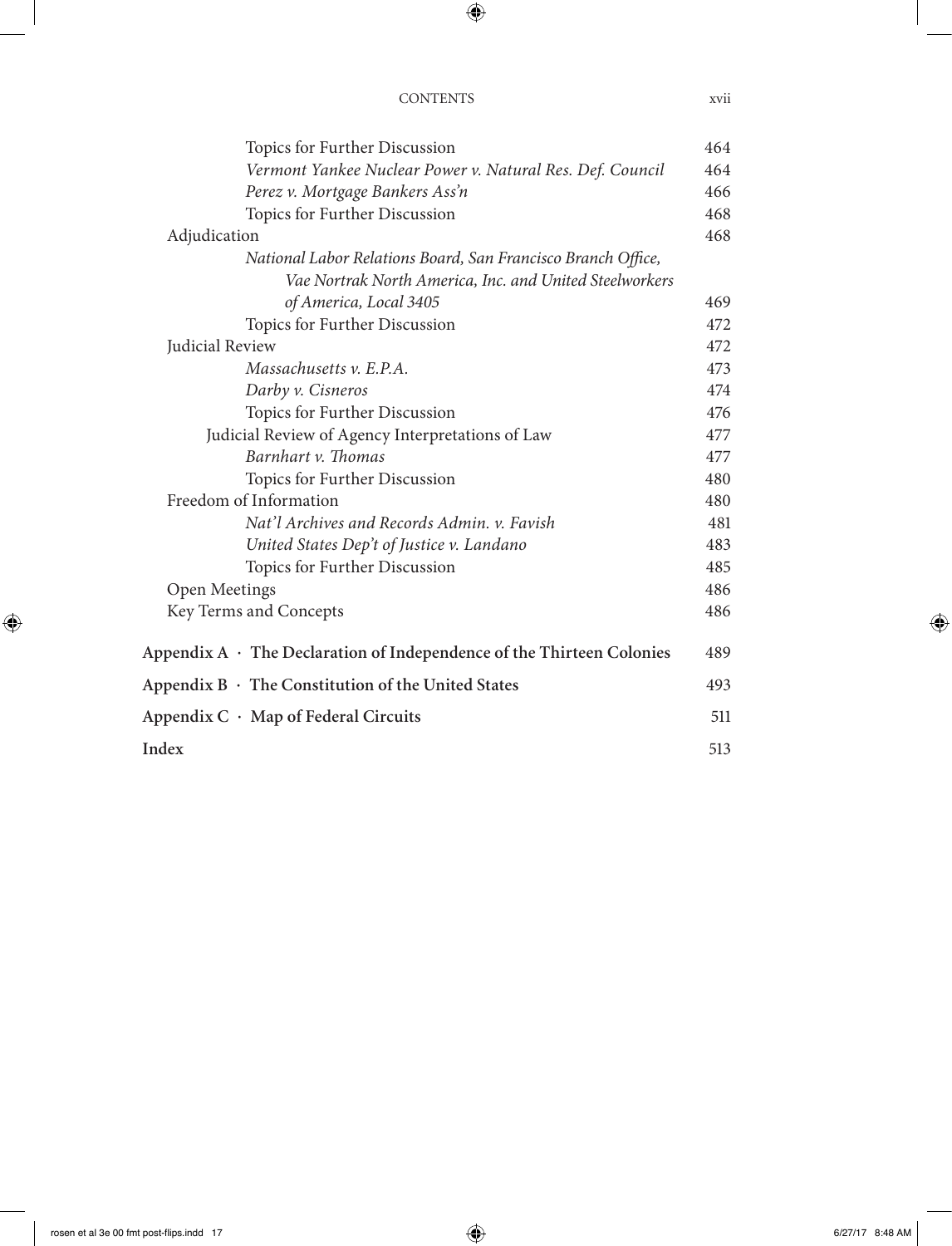| Topics for Further Discussion                                               | 464 |
|-----------------------------------------------------------------------------|-----|
| Vermont Yankee Nuclear Power v. Natural Res. Def. Council                   | 464 |
| Perez v. Mortgage Bankers Ass'n                                             | 466 |
| Topics for Further Discussion                                               | 468 |
| Adjudication                                                                | 468 |
| National Labor Relations Board, San Francisco Branch Office,                |     |
| Vae Nortrak North America, Inc. and United Steelworkers                     |     |
| of America, Local 3405                                                      | 469 |
| Topics for Further Discussion                                               | 472 |
| Judicial Review                                                             | 472 |
| Massachusetts v. E.P.A.                                                     | 473 |
| Darby v. Cisneros                                                           | 474 |
| Topics for Further Discussion                                               | 476 |
| Judicial Review of Agency Interpretations of Law                            | 477 |
| Barnhart v. Thomas                                                          | 477 |
| Topics for Further Discussion                                               | 480 |
| Freedom of Information                                                      | 480 |
| Nat'l Archives and Records Admin. v. Favish                                 | 481 |
| United States Dep't of Justice v. Landano                                   | 483 |
| Topics for Further Discussion                                               | 485 |
| Open Meetings                                                               | 486 |
| Key Terms and Concepts                                                      | 486 |
| Appendix $A \cdot$ The Declaration of Independence of the Thirteen Colonies | 489 |
| Appendix $B \cdot$ The Constitution of the United States                    | 493 |
| Appendix $C \cdot Map$ of Federal Circuits                                  | 511 |
| Index                                                                       | 513 |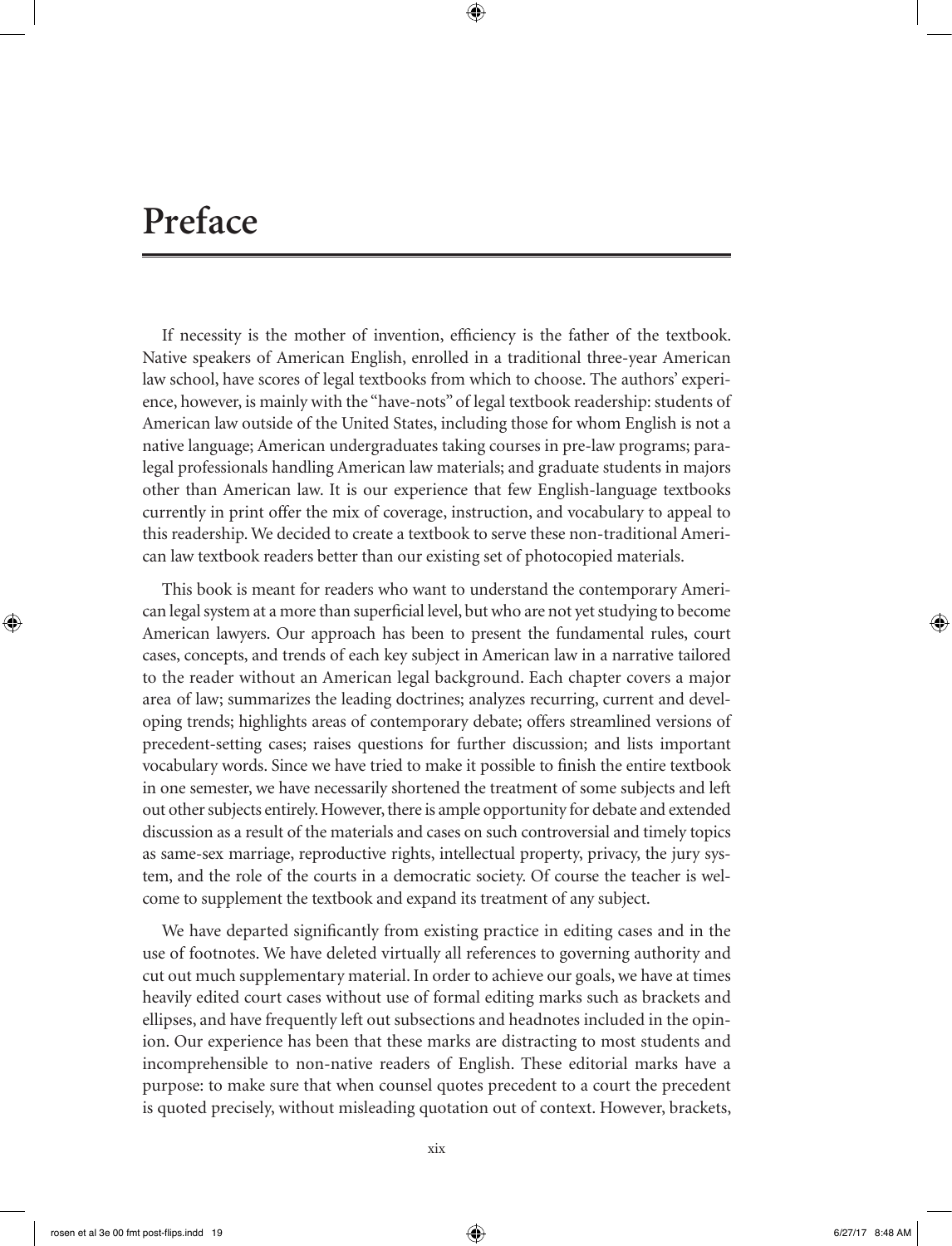# **Preface**

If necessity is the mother of invention, efficiency is the father of the textbook. Native speakers of American English, enrolled in a traditional three-year American law school, have scores of legal textbooks from which to choose. The authors' experience, however, is mainly with the "have-nots" of legal textbook readership: students of American law outside of the United States, including those for whom English is not a native language; American undergraduates taking courses in pre-law programs; paralegal professionals handling American law materials; and graduate students in majors other than American law. It is our experience that few English-language textbooks currently in print offer the mix of coverage, instruction, and vocabulary to appeal to this readership. We decided to create a textbook to serve these non-traditional American law textbook readers better than our existing set of photocopied materials.

This book is meant for readers who want to understand the contemporary American legal system at a more than superficial level, but who are not yet studying to become American lawyers. Our approach has been to present the fundamental rules, court cases, concepts, and trends of each key subject in American law in a narrative tailored to the reader without an American legal background. Each chapter covers a major area of law; summarizes the leading doctrines; analyzes recurring, current and developing trends; highlights areas of contemporary debate; offers streamlined versions of precedent-setting cases; raises questions for further discussion; and lists important vocabulary words. Since we have tried to make it possible to finish the entire textbook in one semester, we have necessarily shortened the treatment of some subjects and left out other subjects entirely. However, there is ample opportunity for debate and extended discussion as a result of the materials and cases on such controversial and timely topics as same-sex marriage, reproductive rights, intellectual property, privacy, the jury system, and the role of the courts in a democratic society. Of course the teacher is welcome to supplement the textbook and expand its treatment of any subject.

We have departed significantly from existing practice in editing cases and in the use of footnotes. We have deleted virtually all references to governing authority and cut out much supplementary material. In order to achieve our goals, we have at times heavily edited court cases without use of formal editing marks such as brackets and ellipses, and have frequently left out subsections and headnotes included in the opinion. Our experience has been that these marks are distracting to most students and incomprehensible to non-native readers of English. These editorial marks have a purpose: to make sure that when counsel quotes precedent to a court the precedent is quoted precisely, without misleading quotation out of context. However, brackets,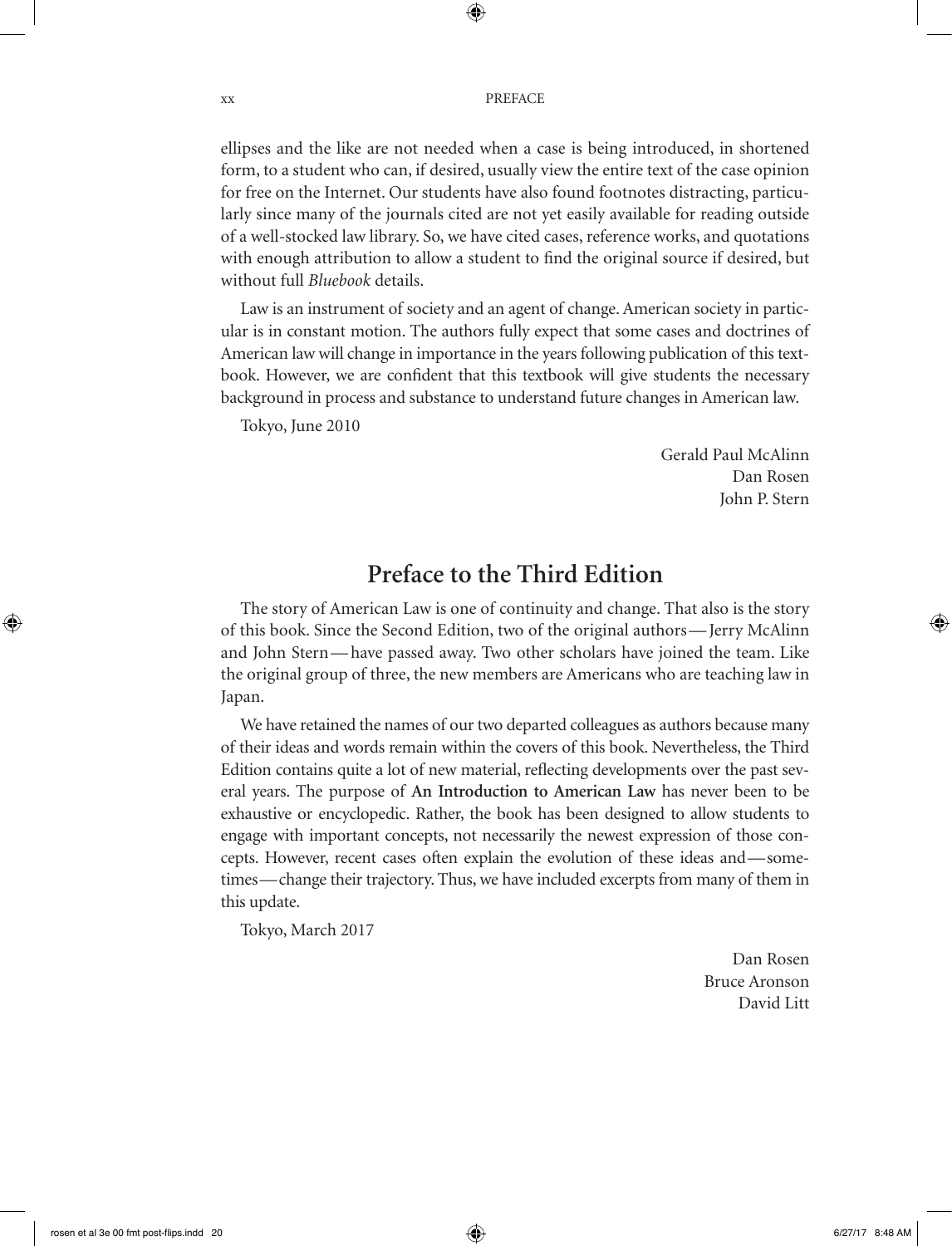ellipses and the like are not needed when a case is being introduced, in shortened form, to a student who can, if desired, usually view the entire text of the case opinion for free on the Internet. Our students have also found footnotes distracting, particularly since many of the journals cited are not yet easily available for reading outside of a well-stocked law library. So, we have cited cases, reference works, and quotations with enough attribution to allow a student to find the original source if desired, but without full *Bluebook* details.

Law is an instrument of society and an agent of change. American society in particular is in constant motion. The authors fully expect that some cases and doctrines of American law will change in importance in the years following publication of this textbook. However, we are confident that this textbook will give students the necessary background in process and substance to understand future changes in American law.

Tokyo, June 2010

Gerald Paul McAlinn Dan Rosen John P. Stern

# **Preface to the Third Edition**

The story of American Law is one of continuity and change. That also is the story of this book. Since the Second Edition, two of the original authors— Jerry McAlinn and John Stern— have passed away. Two other scholars have joined the team. Like the original group of three, the new members are Americans who are teaching law in Japan.

We have retained the names of our two departed colleagues as authors because many of their ideas and words remain within the covers of this book. Nevertheless, the Third Edition contains quite a lot of new material, reflecting developments over the past several years. The purpose of **An Introduction to American Law** has never been to be exhaustive or encyclopedic. Rather, the book has been designed to allow students to engage with important concepts, not necessarily the newest expression of those concepts. However, recent cases often explain the evolution of these ideas and— sometimes— change their trajectory. Thus, we have included excerpts from many of them in this update.

Tokyo, March 2017

Dan Rosen Bruce Aronson David Litt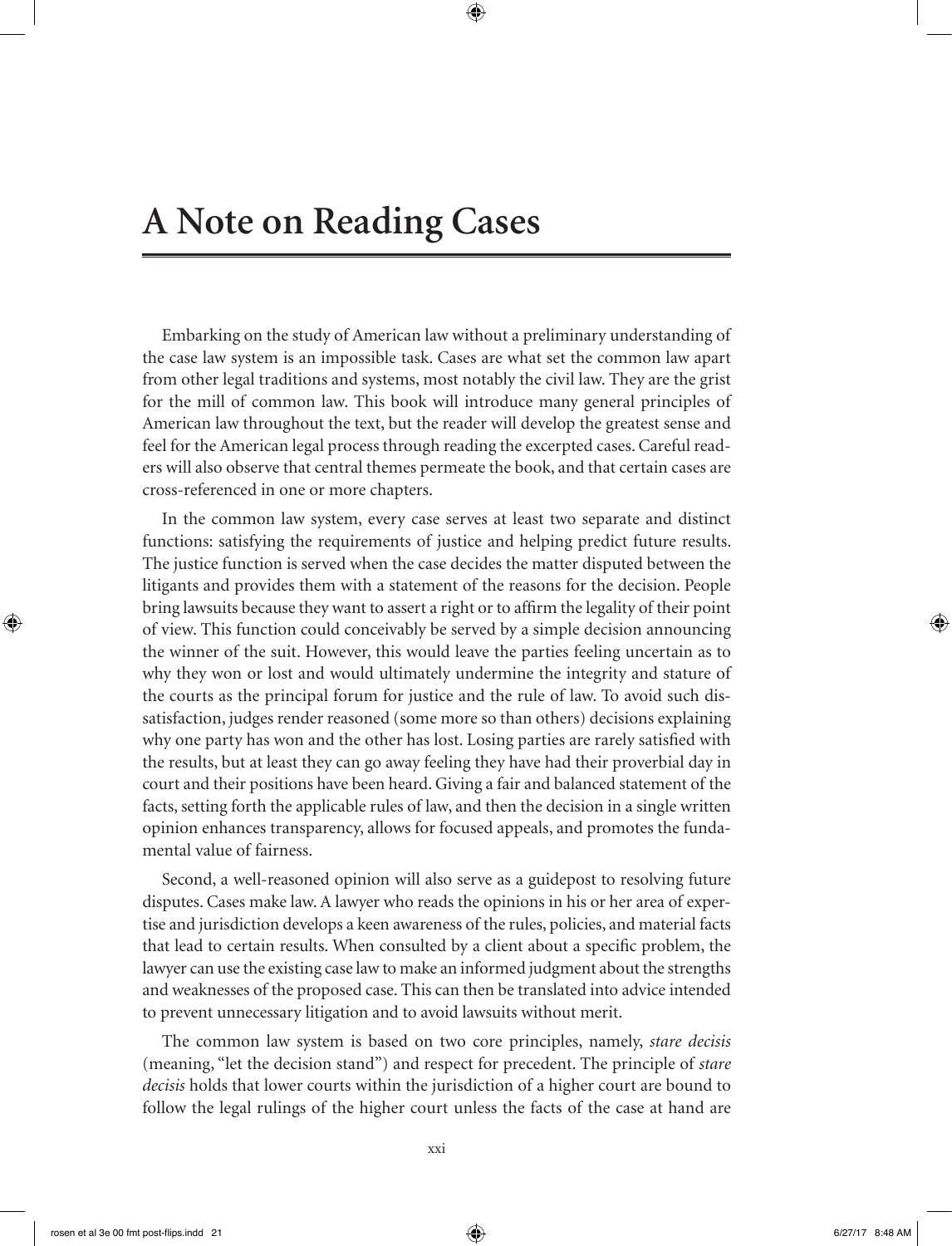Embarking on the study of American law without a preliminary understanding of the case law system is an impossible task. Cases are what set the common law apart from other legal traditions and systems, most notably the civil law. They are the grist for the mill of common law. This book will introduce many general principles of American law throughout the text, but the reader will develop the greatest sense and feel for the American legal process through reading the excerpted cases. Careful readers will also observe that central themes permeate the book, and that certain cases are cross-referenced in one or more chapters.

In the common law system, every case serves at least two separate and distinct functions: satisfying the requirements of justice and helping predict future results. The justice function is served when the case decides the matter disputed between the litigants and provides them with a statement of the reasons for the decision. People bring lawsuits because they want to assert a right or to affirm the legality of their point of view. This function could conceivably be served by a simple decision announcing the winner of the suit. However, this would leave the parties feeling uncertain as to why they won or lost and would ultimately undermine the integrity and stature of the courts as the principal forum for justice and the rule of law. To avoid such dissatisfaction, judges render reasoned (some more so than others) decisions explaining why one party has won and the other has lost. Losing parties are rarely satisfied with the results, but at least they can go away feeling they have had their proverbial day in court and their positions have been heard. Giving a fair and balanced statement of the facts, setting forth the applicable rules of law, and then the decision in a single written opinion enhances transparency, allows for focused appeals, and promotes the fundamental value of fairness.

Second, a well-reasoned opinion will also serve as a guidepost to resolving future disputes. Cases make law. A lawyer who reads the opinions in his or her area of expertise and jurisdiction develops a keen awareness of the rules, policies, and material facts that lead to certain results. When consulted by a client about a specific problem, the lawyer can use the existing case law to make an informed judgment about the strengths and weaknesses of the proposed case. This can then be translated into advice intended to prevent unnecessary litigation and to avoid lawsuits without merit.

The common law system is based on two core principles, namely, *stare decisis* (meaning, "let the decision stand") and respect for precedent. The principle of *stare decisis* holds that lower courts within the jurisdiction of a higher court are bound to follow the legal rulings of the higher court unless the facts of the case at hand are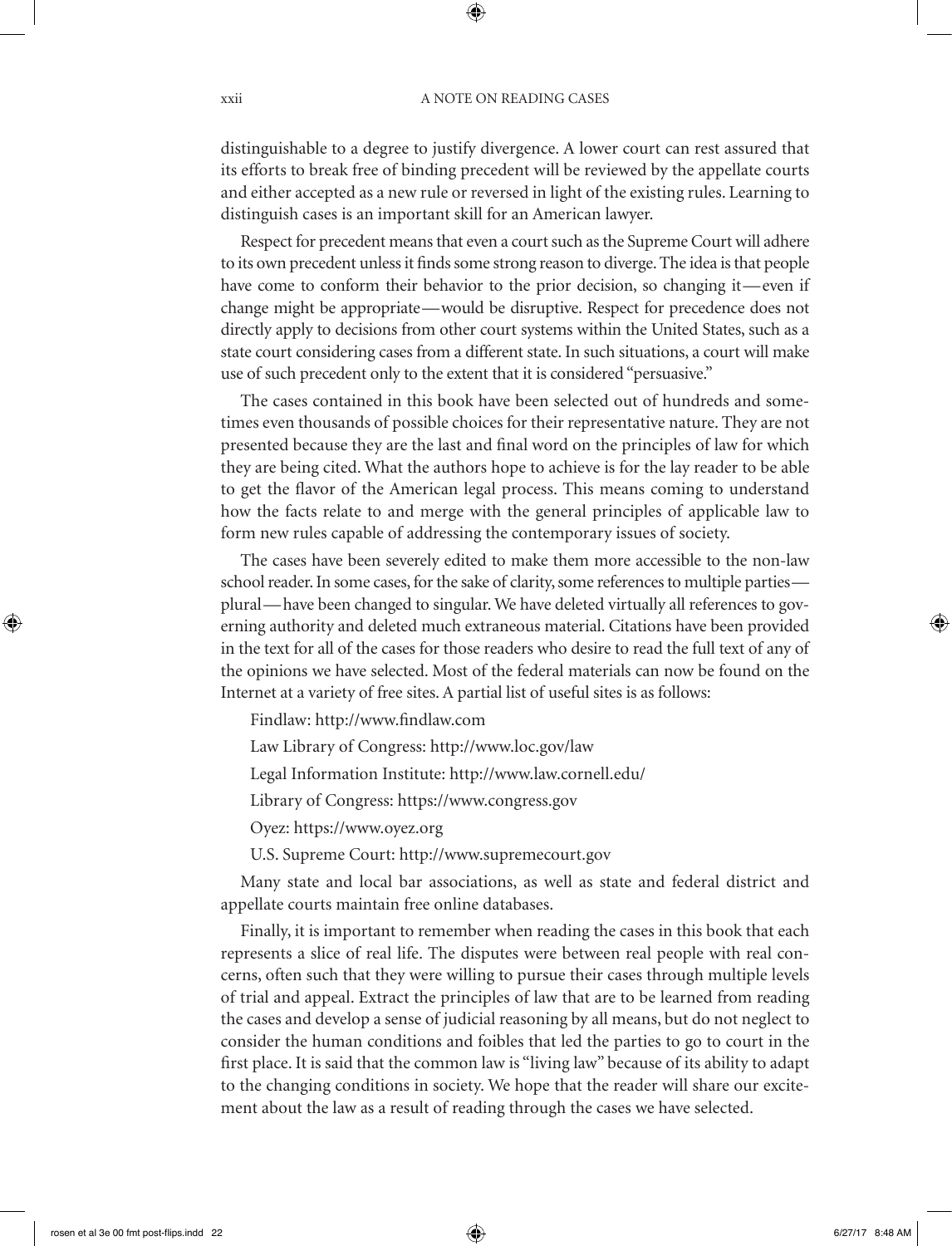distinguishable to a degree to justify divergence. A lower court can rest assured that its efforts to break free of binding precedent will be reviewed by the appellate courts and either accepted as a new rule or reversed in light of the existing rules. Learning to distinguish cases is an important skill for an American lawyer.

Respect for precedent means that even a court such as the Supreme Court will adhere to its own precedent unless it finds some strong reason to diverge. The idea is that people have come to conform their behavior to the prior decision, so changing it—even if change might be appropriate— would be disruptive. Respect for precedence does not directly apply to decisions from other court systems within the United States, such as a state court considering cases from a different state. In such situations, a court will make use of such precedent only to the extent that it is considered "persuasive."

The cases contained in this book have been selected out of hundreds and sometimes even thousands of possible choices for their representative nature. They are not presented because they are the last and final word on the principles of law for which they are being cited. What the authors hope to achieve is for the lay reader to be able to get the flavor of the American legal process. This means coming to understand how the facts relate to and merge with the general principles of applicable law to form new rules capable of addressing the contemporary issues of society.

The cases have been severely edited to make them more accessible to the non-law school reader. In some cases, for the sake of clarity, some references to multiple parties plural— have been changed to singular. We have deleted virtually all references to governing authority and deleted much extraneous material. Citations have been provided in the text for all of the cases for those readers who desire to read the full text of any of the opinions we have selected. Most of the federal materials can now be found on the Internet at a variety of free sites. A partial list of useful sites is as follows:

Findlaw: http://www.findlaw.com

Law Library of Congress: http://www.loc.gov/law

Legal Information Institute: http://www.law.cornell.edu/

Library of Congress: https://www.congress.gov

Oyez: https://www.oyez.org

U.S. Supreme Court: http://www.supremecourt.gov

Many state and local bar associations, as well as state and federal district and appellate courts maintain free online databases.

Finally, it is important to remember when reading the cases in this book that each represents a slice of real life. The disputes were between real people with real concerns, often such that they were willing to pursue their cases through multiple levels of trial and appeal. Extract the principles of law that are to be learned from reading the cases and develop a sense of judicial reasoning by all means, but do not neglect to consider the human conditions and foibles that led the parties to go to court in the first place. It is said that the common law is "living law" because of its ability to adapt to the changing conditions in society. We hope that the reader will share our excitement about the law as a result of reading through the cases we have selected.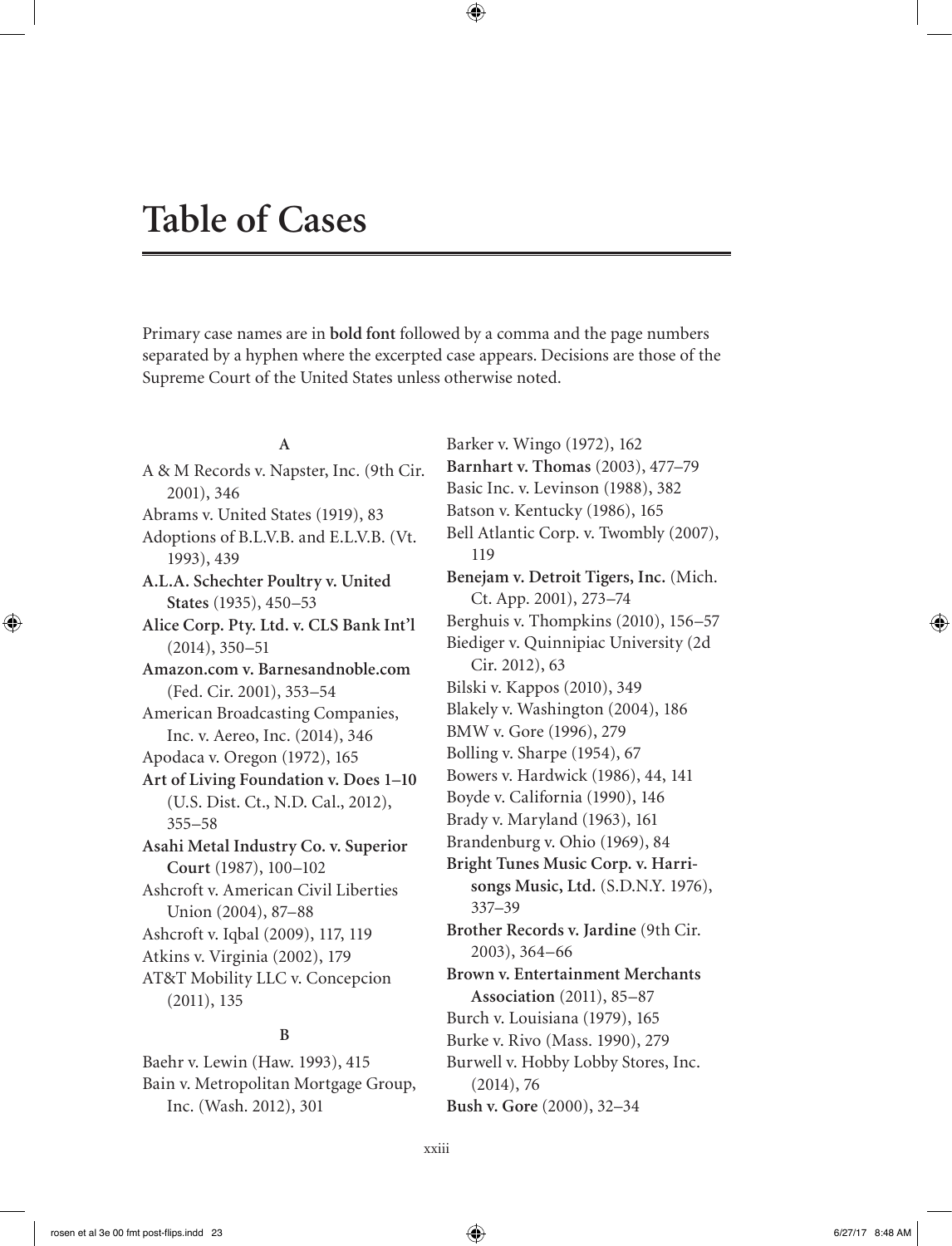# **Table of Cases**

Primary case names are in **bold font** followed by a comma and the page numbers separated by a hyphen where the excerpted case appears. Decisions are those of the Supreme Court of the United States unless otherwise noted.

#### **A**

A & M Records v. Napster, Inc. (9th Cir. 2001), 346 Abrams v. United States (1919), 83 Adoptions of B.L.V.B. and E.L.V.B. (Vt. 1993), 439 **A.L.A. Schechter Poultry v. United States** (1935), 450–53 **Alice Corp. Pty. Ltd. v. CLS Bank Int'l** (2014), 350–51 **Amazon.com v. Barnesandnoble.com** (Fed. Cir. 2001), 353–54 American Broadcasting Companies, Inc. v. Aereo, Inc. (2014), 346 Apodaca v. Oregon (1972), 165 **Art of Living Foundation v. Does 1–10** (U.S. Dist. Ct., N.D. Cal., 2012), 355–58 **Asahi Metal Industry Co. v. Superior Court** (1987), 100–102 Ashcroft v. American Civil Liberties Union (2004), 87–88 Ashcroft v. Iqbal (2009), 117, 119 Atkins v. Virginia (2002), 179 AT&T Mobility LLC v. Concepcion (2011), 135 **B**

Baehr v. Lewin (Haw. 1993), 415 Bain v. Metropolitan Mortgage Group, Inc. (Wash. 2012), 301

Barker v. Wingo (1972), 162 **Barnhart v. Thomas** (2003), 477–79 Basic Inc. v. Levinson (1988), 382 Batson v. Kentucky (1986), 165 Bell Atlantic Corp. v. Twombly (2007), 119 **Benejam v. Detroit Tigers, Inc.** (Mich. Ct. App. 2001), 273–74 Berghuis v. Thompkins (2010), 156–57 Biediger v. Quinnipiac University (2d Cir. 2012), 63 Bilski v. Kappos (2010), 349 Blakely v. Washington (2004), 186 BMW v. Gore (1996), 279 Bolling v. Sharpe (1954), 67 Bowers v. Hardwick (1986), 44, 141 Boyde v. California (1990), 146 Brady v. Maryland (1963), 161 Brandenburg v. Ohio (1969), 84 **Bright Tunes Music Corp. v. Harrisongs Music, Ltd.** (S.D.N.Y. 1976), 337–39 **Brother Records v. Jardine** (9th Cir. 2003), 364–66 **Brown v. Entertainment Merchants Association** (2011), 85–87 Burch v. Louisiana (1979), 165 Burke v. Rivo (Mass. 1990), 279 Burwell v. Hobby Lobby Stores, Inc. (2014), 76 **Bush v. Gore** (2000), 32–34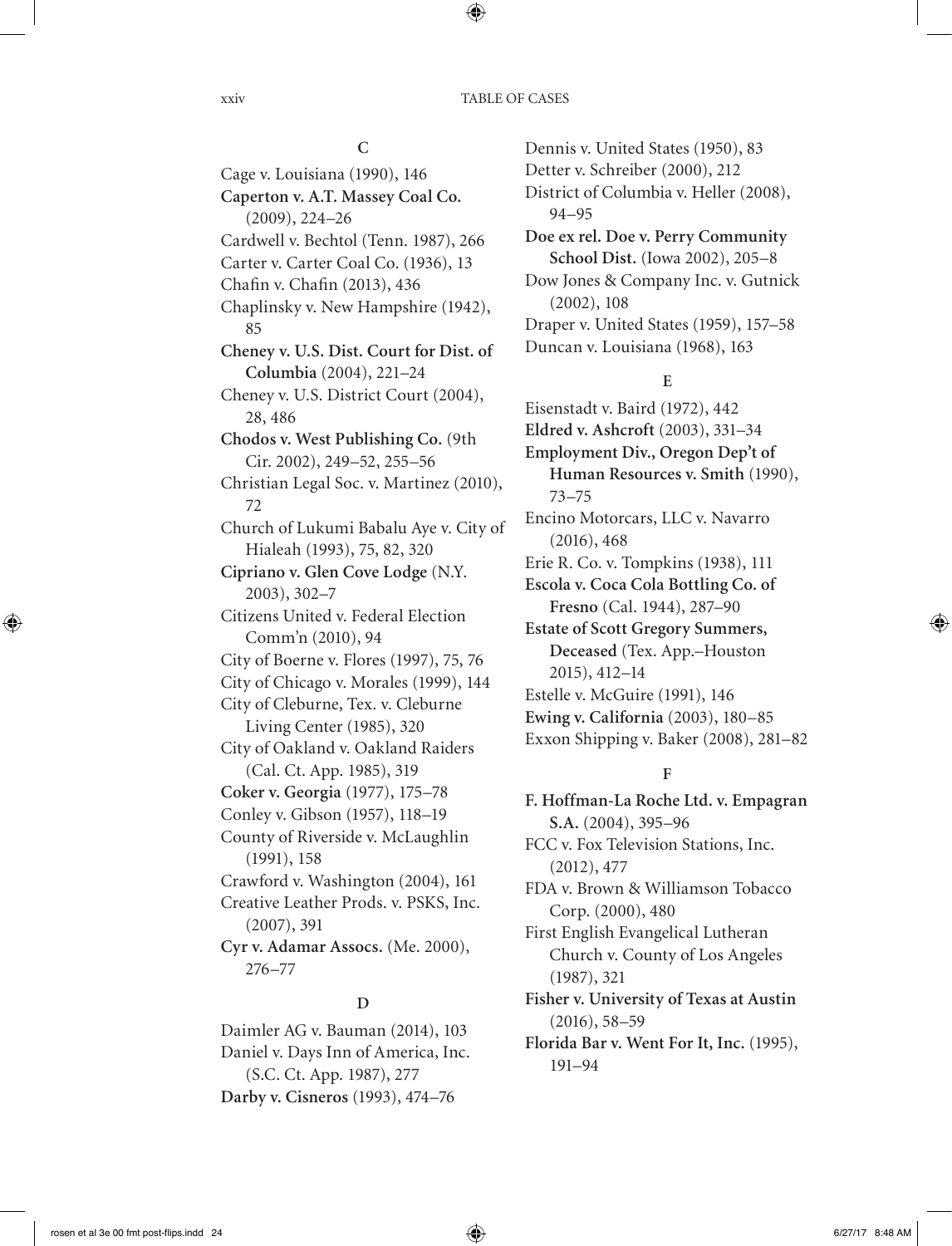#### **C**

Cage v. Louisiana (1990), 146 **Caperton v. A.T. Massey Coal Co.** (2009), 224–26 Cardwell v. Bechtol (Tenn. 1987), 266 Carter v. Carter Coal Co. (1936), 13 Chafin v. Chafin (2013), 436 Chaplinsky v. New Hampshire (1942), 85 **Cheney v. U.S. Dist. Court for Dist. of Columbia** (2004), 221–24 Cheney v. U.S. District Court (2004), 28, 486 **Chodos v. West Publishing Co.** (9th Cir. 2002), 249–52, 255–56 Christian Legal Soc. v. Martinez (2010), 72 Church of Lukumi Babalu Aye v. City of Hialeah (1993), 75, 82, 320 **Cipriano v. Glen Cove Lodge** (N.Y. 2003), 302–7 Citizens United v. Federal Election Comm'n (2010), 94 City of Boerne v. Flores (1997), 75, 76 City of Chicago v. Morales (1999), 144 City of Cleburne, Tex. v. Cleburne Living Center (1985), 320 City of Oakland v. Oakland Raiders (Cal. Ct. App. 1985), 319 **Coker v. Georgia** (1977), 175–78 Conley v. Gibson (1957), 118–19 County of Riverside v. McLaughlin (1991), 158 Crawford v. Washington (2004), 161 Creative Leather Prods. v. PSKS, Inc. (2007), 391 **Cyr v. Adamar Assocs.** (Me. 2000), 276–77

### Detter v. Schreiber (2000), 212 District of Columbia v. Heller (2008), 94–95 **Doe ex rel. Doe v. Perry Community School Dist.** (Iowa 2002), 205–8 Dow Jones & Company Inc. v. Gutnick (2002), 108 Draper v. United States (1959), 157–58 Duncan v. Louisiana (1968), 163

Dennis v. United States (1950), 83

#### **E**

Eisenstadt v. Baird (1972), 442 **Eldred v. Ashcroft** (2003), 331–34 **Employment Div., Oregon Dep't of Human Resources v. Smith** (1990), 73–75 Encino Motorcars, LLC v. Navarro (2016), 468 Erie R. Co. v. Tompkins (1938), 111 **Escola v. Coca Cola Bottling Co. of Fresno** (Cal. 1944), 287–90 **Estate of Scott Gregory Summers, Deceased** (Tex. App.–Houston 2015), 412–14 Estelle v. McGuire (1991), 146 **Ewing v. California** (2003), 180–85 Exxon Shipping v. Baker (2008), 281–82

#### **F**

**F. Hoffman-La Roche Ltd. v. Empagran S.A.** (2004), 395–96 FCC v. Fox Television Stations, Inc. (2012), 477 FDA v. Brown & Williamson Tobacco Corp. (2000), 480 First English Evangelical Lutheran Church v. County of Los Angeles (1987), 321 **Fisher v. University of Texas at Austin** (2016), 58–59 **Florida Bar v. Went For It, Inc.** (1995), 191–94

#### **D**

Daimler AG v. Bauman (2014), 103 Daniel v. Days Inn of America, Inc. (S.C. Ct. App. 1987), 277 **Darby v. Cisneros** (1993), 474–76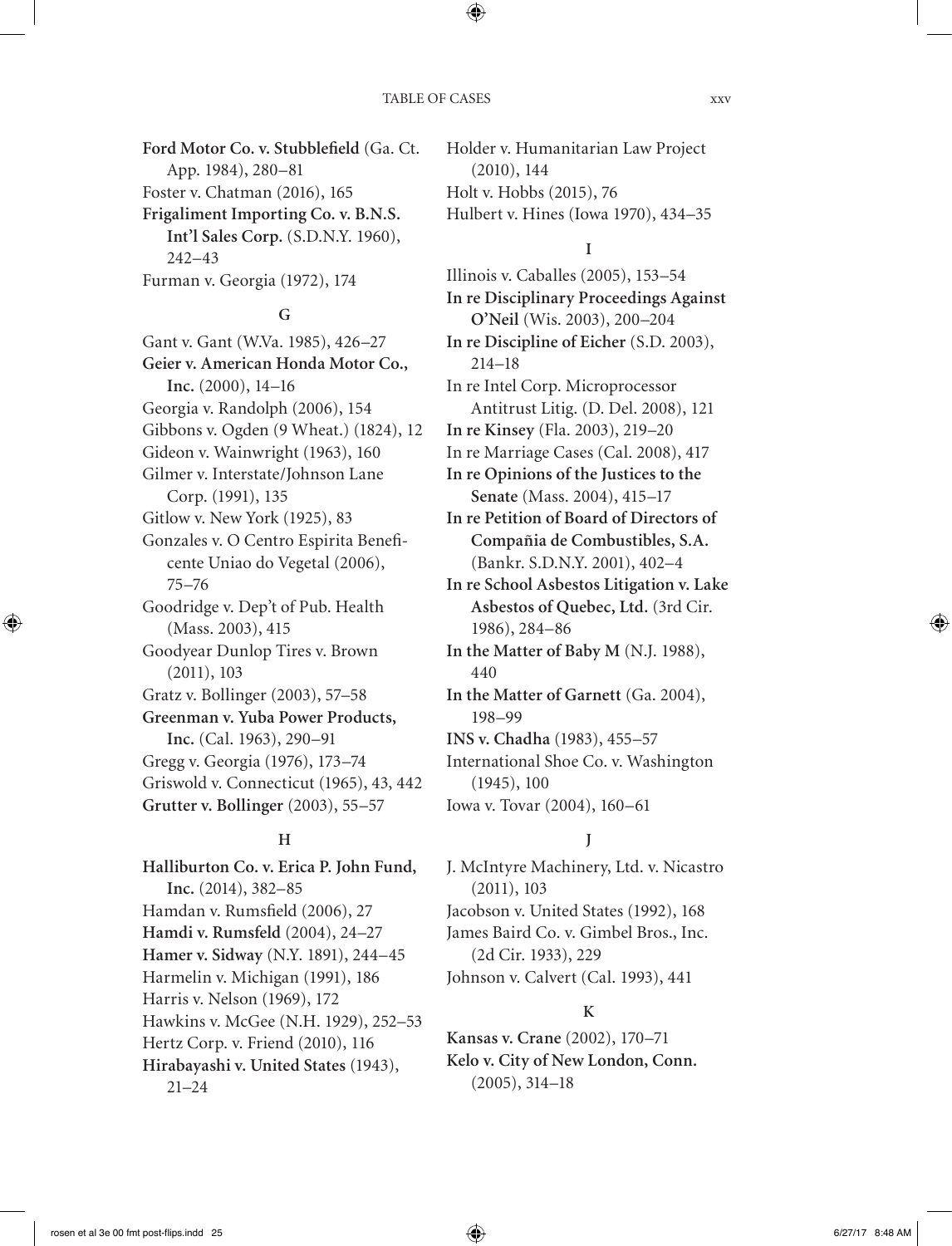**Ford Motor Co. v. Stubblefield** (Ga. Ct. App. 1984), 280–81 Foster v. Chatman (2016), 165 **Frigaliment Importing Co. v. B.N.S. Int'l Sales Corp.** (S.D.N.Y. 1960), 242–43 Furman v. Georgia (1972), 174

#### **G**

Gant v. Gant (W.Va. 1985), 426–27 **Geier v. American Honda Motor Co., Inc.** (2000), 14–16 Georgia v. Randolph (2006), 154 Gibbons v. Ogden (9 Wheat.) (1824), 12 Gideon v. Wainwright (1963), 160 Gilmer v. Interstate/Johnson Lane Corp. (1991), 135 Gitlow v. New York (1925), 83 Gonzales v. O Centro Espirita Beneficente Uniao do Vegetal (2006), 75–76 Goodridge v. Dep't of Pub. Health (Mass. 2003), 415 Goodyear Dunlop Tires v. Brown (2011), 103 Gratz v. Bollinger (2003), 57–58 **Greenman v. Yuba Power Products, Inc.** (Cal. 1963), 290–91 Gregg v. Georgia (1976), 173–74 Griswold v. Connecticut (1965), 43, 442 **Grutter v. Bollinger** (2003), 55–57

#### **H**

**Halliburton Co. v. Erica P. John Fund, Inc.** (2014), 382–85 Hamdan v. Rumsfield (2006), 27 **Hamdi v. Rumsfeld** (2004), 24–27 **Hamer v. Sidway** (N.Y. 1891), 244–45 Harmelin v. Michigan (1991), 186 Harris v. Nelson (1969), 172 Hawkins v. McGee (N.H. 1929), 252–53 Hertz Corp. v. Friend (2010), 116 **Hirabayashi v. United States** (1943), 21–24

Holder v. Humanitarian Law Project (2010), 144 Holt v. Hobbs (2015), 76 Hulbert v. Hines (Iowa 1970), 434–35

#### **I**

Illinois v. Caballes (2005), 153–54 **In re Disciplinary Proceedings Against O'Neil** (Wis. 2003), 200–204 **In re Discipline of Eicher** (S.D. 2003), 214–18 In re Intel Corp. Microprocessor Antitrust Litig. (D. Del. 2008), 121 **In re Kinsey** (Fla. 2003), 219–20 In re Marriage Cases (Cal. 2008), 417 **In re Opinions of the Justices to the Senate** (Mass. 2004), 415–17 **In re Petition of Board of Directors of Compañia de Combustibles, S.A.** (Bankr. S.D.N.Y. 2001), 402–4 **In re School Asbestos Litigation v. Lake Asbestos of Quebec, Ltd.** (3rd Cir. 1986), 284–86 **In the Matter of Baby M** (N.J. 1988), 440 **In the Matter of Garnett** (Ga. 2004), 198–99 **INS v. Chadha** (1983), 455–57 International Shoe Co. v. Washington (1945), 100 Iowa v. Tovar (2004), 160–61

### **J**

J. McIntyre Machinery, Ltd. v. Nicastro (2011), 103 Jacobson v. United States (1992), 168 James Baird Co. v. Gimbel Bros., Inc. (2d Cir. 1933), 229 Johnson v. Calvert (Cal. 1993), 441

#### **K**

**Kansas v. Crane** (2002), 170–71 **Kelo v. City of New London, Conn.** (2005), 314–18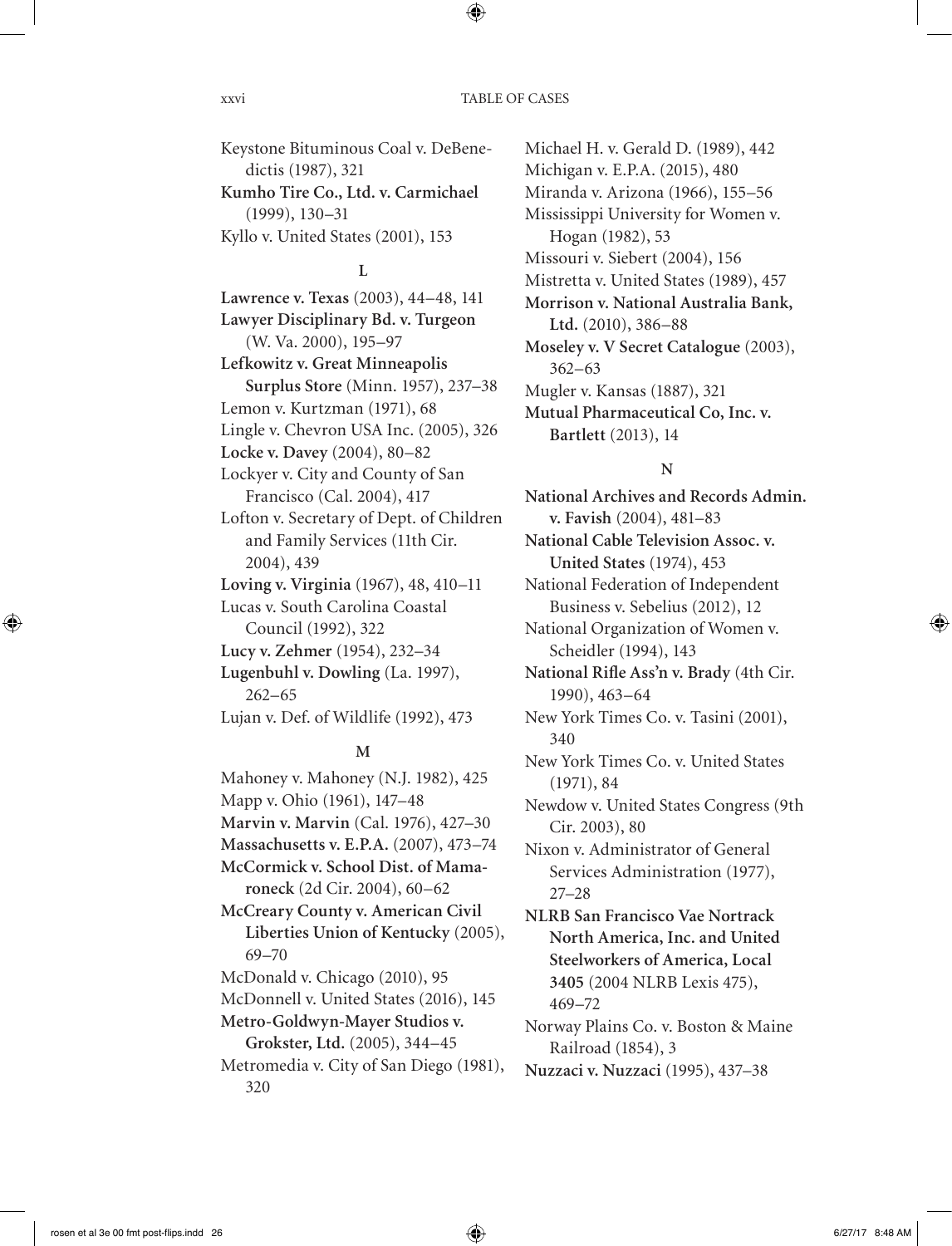Keystone Bituminous Coal v. DeBenedictis (1987), 321 **Kumho Tire Co., Ltd. v. Carmichael** (1999), 130–31 Kyllo v. United States (2001), 153

#### **L**

**Lawrence v. Texas** (2003), 44–48, 141 **Lawyer Disciplinary Bd. v. Turgeon** (W. Va. 2000), 195–97 **Lefkowitz v. Great Minneapolis Surplus Store** (Minn. 1957), 237–38 Lemon v. Kurtzman (1971), 68 Lingle v. Chevron USA Inc. (2005), 326 **Locke v. Davey** (2004), 80–82 Lockyer v. City and County of San Francisco (Cal. 2004), 417 Lofton v. Secretary of Dept. of Children and Family Services (11th Cir. 2004), 439 **Loving v. Virginia** (1967), 48, 410–11 Lucas v. South Carolina Coastal Council (1992), 322 **Lucy v. Zehmer** (1954), 232–34 **Lugenbuhl v. Dowling** (La. 1997), 262–65 Lujan v. Def. of Wildlife (1992), 473

#### **M**

Mahoney v. Mahoney (N.J. 1982), 425 Mapp v. Ohio (1961), 147–48 **Marvin v. Marvin** (Cal. 1976), 427–30 **Massachusetts v. E.P.A.** (2007), 473–74 **McCormick v. School Dist. of Mamaroneck** (2d Cir. 2004), 60–62 **McCreary County v. American Civil Liberties Union of Kentucky** (2005), 69–70 McDonald v. Chicago (2010), 95 McDonnell v. United States (2016), 145 **Metro-Goldwyn-Mayer Studios v. Grokster, Ltd.** (2005), 344–45 Metromedia v. City of San Diego (1981),

320

Michael H. v. Gerald D. (1989), 442 Michigan v. E.P.A. (2015), 480 Miranda v. Arizona (1966), 155–56 Mississippi University for Women v. Hogan (1982), 53 Missouri v. Siebert (2004), 156 Mistretta v. United States (1989), 457 **Morrison v. National Australia Bank, Ltd.** (2010), 386–88 **Moseley v. V Secret Catalogue** (2003), 362–63 Mugler v. Kansas (1887), 321 **Mutual Pharmaceutical Co, Inc. v. Bartlett** (2013), 14

#### **N**

**National Archives and Records Admin. v. Favish** (2004), 481–83 **National Cable Television Assoc. v. United States** (1974), 453 National Federation of Independent Business v. Sebelius (2012), 12 National Organization of Women v. Scheidler (1994), 143 **National Rifle Ass'n v. Brady** (4th Cir. 1990), 463–64 New York Times Co. v. Tasini (2001), 340 New York Times Co. v. United States (1971), 84 Newdow v. United States Congress (9th Cir. 2003), 80 Nixon v. Administrator of General Services Administration (1977), 27–28 **NLRB San Francisco Vae Nortrack North America, Inc. and United Steelworkers of America, Local 3405** (2004 NLRB Lexis 475), 469–72 Norway Plains Co. v. Boston & Maine Railroad (1854), 3

**Nuzzaci v. Nuzzaci** (1995), 437–38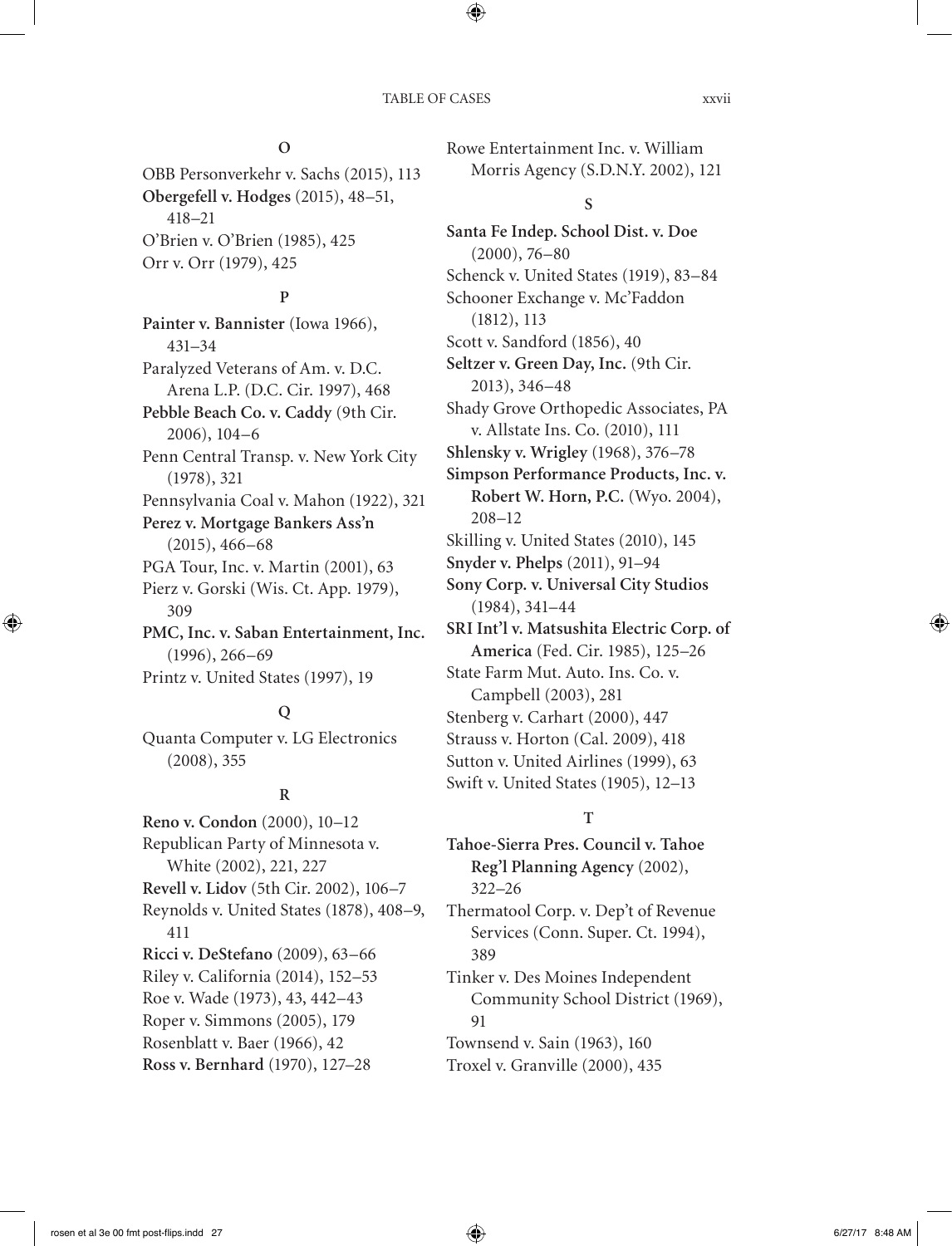#### **O**

OBB Personverkehr v. Sachs (2015), 113 **Obergefell v. Hodges** (2015), 48–51, 418–21 O'Brien v. O'Brien (1985), 425 Orr v. Orr (1979), 425

#### **P**

**Painter v. Bannister** (Iowa 1966), 431–34 Paralyzed Veterans of Am. v. D.C. Arena L.P. (D.C. Cir. 1997), 468 **Pebble Beach Co. v. Caddy** (9th Cir. 2006), 104–6 Penn Central Transp. v. New York City (1978), 321 Pennsylvania Coal v. Mahon (1922), 321 **Perez v. Mortgage Bankers Ass'n** (2015), 466–68 PGA Tour, Inc. v. Martin (2001), 63 Pierz v. Gorski (Wis. Ct. App. 1979), 309 **PMC, Inc. v. Saban Entertainment, Inc.** (1996), 266–69 Printz v. United States (1997), 19

#### **Q**

Quanta Computer v. LG Electronics (2008), 355

#### **R**

**Reno v. Condon** (2000), 10–12 Republican Party of Minnesota v. White (2002), 221, 227 **Revell v. Lidov** (5th Cir. 2002), 106–7 Reynolds v. United States (1878), 408–9, 411 **Ricci v. DeStefano** (2009), 63–66 Riley v. California (2014), 152–53 Roe v. Wade (1973), 43, 442–43 Roper v. Simmons (2005), 179 Rosenblatt v. Baer (1966), 42 **Ross v. Bernhard** (1970), 127–28

Rowe Entertainment Inc. v. William Morris Agency (S.D.N.Y. 2002), 121

#### **S**

**Santa Fe Indep. School Dist. v. Doe** (2000), 76–80 Schenck v. United States (1919), 83–84 Schooner Exchange v. Mc'Faddon (1812), 113 Scott v. Sandford (1856), 40 **Seltzer v. Green Day, Inc.** (9th Cir. 2013), 346–48 Shady Grove Orthopedic Associates, PA v. Allstate Ins. Co. (2010), 111 **Shlensky v. Wrigley** (1968), 376–78 **Simpson Performance Products, Inc. v. Robert W. Horn, P.C.** (Wyo. 2004), 208–12 Skilling v. United States (2010), 145 **Snyder v. Phelps** (2011), 91–94 **Sony Corp. v. Universal City Studios** (1984), 341–44 **SRI Int'l v. Matsushita Electric Corp. of America** (Fed. Cir. 1985), 125–26 State Farm Mut. Auto. Ins. Co. v. Campbell (2003), 281 Stenberg v. Carhart (2000), 447 Strauss v. Horton (Cal. 2009), 418 Sutton v. United Airlines (1999), 63 Swift v. United States (1905), 12–13

#### **T**

**Tahoe-Sierra Pres. Council v. Tahoe Reg'l Planning Agency** (2002), 322–26 Thermatool Corp. v. Dep't of Revenue Services (Conn. Super. Ct. 1994), 389 Tinker v. Des Moines Independent Community School District (1969), 91 Townsend v. Sain (1963), 160 Troxel v. Granville (2000), 435